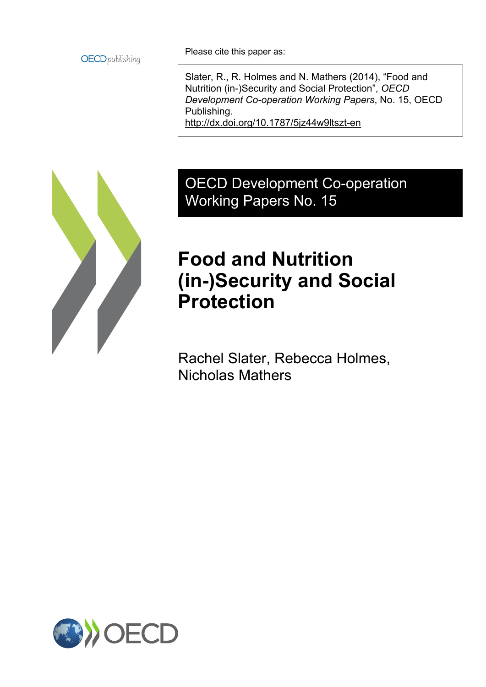

Please cite this paper as:

Slater, R., R. Holmes and N. Mathers (2014), "Food and Nutrition (in-)Security and Social Protection", *OECD Development Co-operation Working Papers*, No. 15, OECD Publishing. <http://dx.doi.org/10.1787/5jz44w9ltszt-en>

## OECD Development Co-operation Working Papers No. 15

## **Food and Nutrition (in-)Security and Social Protection**

Rachel Slater, Rebecca Holmes, Nicholas Mathers

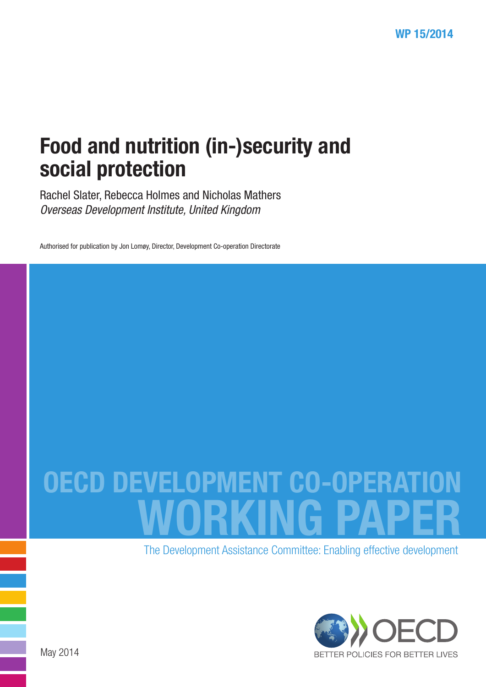# Food and nutrition (in-)security and social protection

Rachel Slater, Rebecca Holmes and Nicholas Mathers *Overseas Development Institute, United Kingdom*

Authorised for publication by Jon Lomøy, Director, Development Co-operation Directorate

# **OECD DEVELOPMENT CO-0** WORKING PAPER

The Development Assistance Committee: Enabling effective development

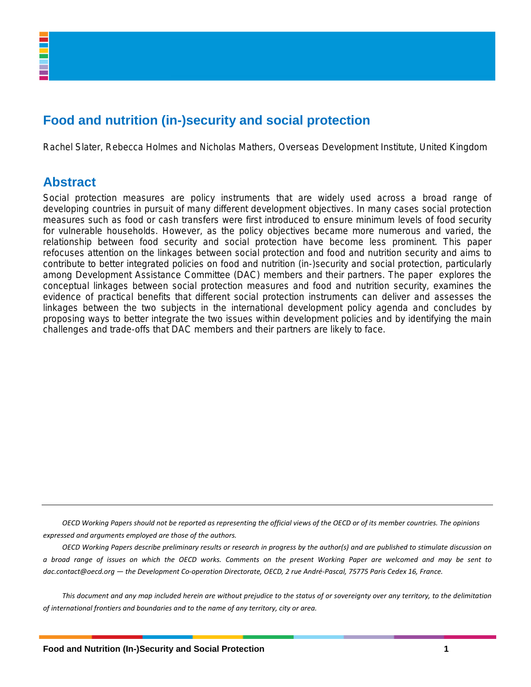## **Food and nutrition (in-)security and social protection**

Rachel Slater, Rebecca Holmes and Nicholas Mathers, Overseas Development Institute, United Kingdom

### **Abstract**

Social protection measures are policy instruments that are widely used across a broad range of developing countries in pursuit of many different development objectives. In many cases social protection measures such as food or cash transfers were first introduced to ensure minimum levels of food security for vulnerable households. However, as the policy objectives became more numerous and varied, the relationship between food security and social protection have become less prominent. This paper refocuses attention on the linkages between social protection and food and nutrition security and aims to contribute to better integrated policies on food and nutrition (in-)security and social protection, particularly among Development Assistance Committee (DAC) members and their partners. The paper explores the conceptual linkages between social protection measures and food and nutrition security, examines the evidence of practical benefits that different social protection instruments can deliver and assesses the linkages between the two subjects in the international development policy agenda and concludes by proposing ways to better integrate the two issues within development policies and by identifying the main challenges and trade-offs that DAC members and their partners are likely to face.

*OECD Working Papers should not be reported as representing the official views of the OECD or of its member countries. The opinions expressed and arguments employed are those of the authors.*

*OECD Working Papers describe preliminary results or research in progress by the author(s) and are published to stimulate discussion on a broad range of issues on which the OECD works. Comments on the present Working Paper are welcomed and may be sent to dac.contact@oecd.org — the Development Co-operation Directorate, OECD, 2 rue André-Pascal, 75775 Paris Cedex 16, France.*

*This document and any map included herein are without prejudice to the status of or sovereignty over any territory, to the delimitation of international frontiers and boundaries and to the name of any territory, city or area.*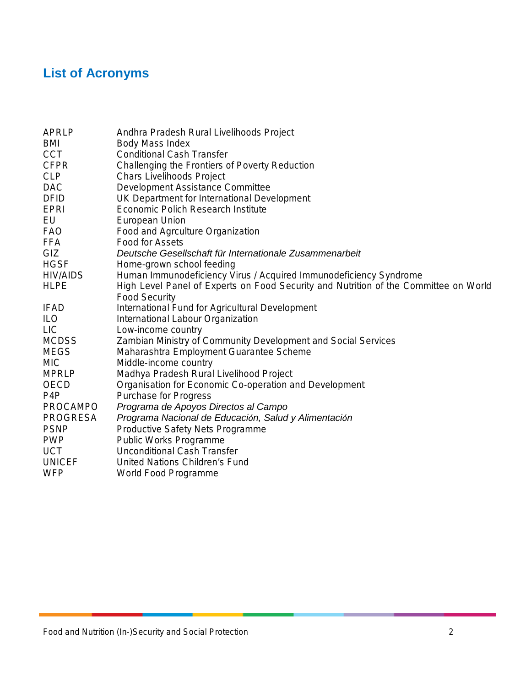## **List of Acronyms**

| <b>APRLP</b>     | Andhra Pradesh Rural Livelihoods Project                                             |
|------------------|--------------------------------------------------------------------------------------|
| <b>BMI</b>       | Body Mass Index                                                                      |
| <b>CCT</b>       | <b>Conditional Cash Transfer</b>                                                     |
| <b>CFPR</b>      | Challenging the Frontiers of Poverty Reduction                                       |
| <b>CLP</b>       | <b>Chars Livelihoods Project</b>                                                     |
| <b>DAC</b>       | <b>Development Assistance Committee</b>                                              |
| <b>DFID</b>      | UK Department for International Development                                          |
| <b>EPRI</b>      | Economic Polich Research Institute                                                   |
| EU               | European Union                                                                       |
| <b>FAO</b>       | Food and Agrculture Organization                                                     |
| <b>FFA</b>       | <b>Food for Assets</b>                                                               |
| GIZ              | Deutsche Gesellschaft für Internationale Zusammenarbeit                              |
| <b>HGSF</b>      | Home-grown school feeding                                                            |
| <b>HIV/AIDS</b>  | Human Immunodeficiency Virus / Acquired Immunodeficiency Syndrome                    |
| <b>HLPE</b>      | High Level Panel of Experts on Food Security and Nutrition of the Committee on World |
|                  | <b>Food Security</b>                                                                 |
| <b>IFAD</b>      | International Fund for Agricultural Development                                      |
| <b>ILO</b>       | International Labour Organization                                                    |
| <b>LIC</b>       | Low-income country                                                                   |
| <b>MCDSS</b>     | Zambian Ministry of Community Development and Social Services                        |
| <b>MEGS</b>      | Maharashtra Employment Guarantee Scheme                                              |
| <b>MIC</b>       | Middle-income country                                                                |
| <b>MPRLP</b>     | Madhya Pradesh Rural Livelihood Project                                              |
| <b>OECD</b>      | Organisation for Economic Co-operation and Development                               |
| P <sub>4</sub> P | <b>Purchase for Progress</b>                                                         |
| <b>PROCAMPO</b>  | Programa de Apoyos Directos al Campo                                                 |
| <b>PROGRESA</b>  | Programa Nacional de Educación, Salud y Alimentación                                 |
| <b>PSNP</b>      | Productive Safety Nets Programme                                                     |
| <b>PWP</b>       | <b>Public Works Programme</b>                                                        |
| <b>UCT</b>       | <b>Unconditional Cash Transfer</b>                                                   |
| <b>UNICEF</b>    | United Nations Children's Fund                                                       |
| <b>WFP</b>       | World Food Programme                                                                 |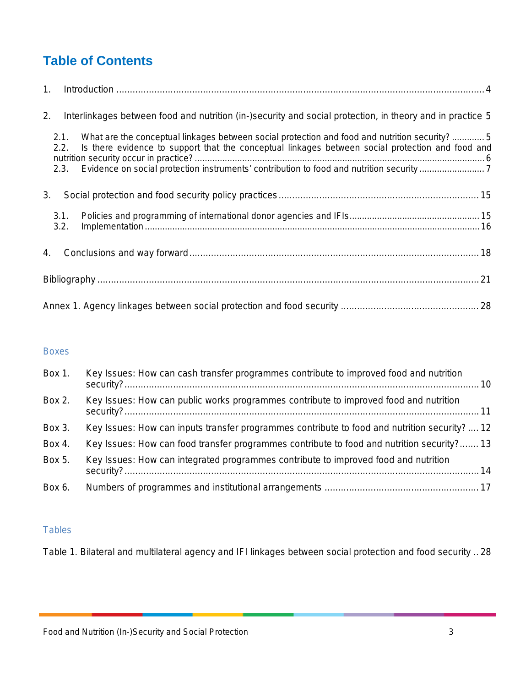## **Table of Contents**

| 1. |              |                                                                                                                                                                                                  |  |
|----|--------------|--------------------------------------------------------------------------------------------------------------------------------------------------------------------------------------------------|--|
| 2. |              | Interlinkages between food and nutrition (in-)security and social protection, in theory and in practice 5                                                                                        |  |
|    | 2.1.<br>2.2. | What are the conceptual linkages between social protection and food and nutrition security?5<br>Is there evidence to support that the conceptual linkages between social protection and food and |  |
|    | 2.3.         |                                                                                                                                                                                                  |  |
| 3. |              |                                                                                                                                                                                                  |  |
|    | 3.1.<br>3.2. |                                                                                                                                                                                                  |  |
| 4. |              |                                                                                                                                                                                                  |  |
|    |              |                                                                                                                                                                                                  |  |
|    |              |                                                                                                                                                                                                  |  |

#### Boxes

| Box 1. | Key Issues: How can cash transfer programmes contribute to improved food and nutrition       |  |
|--------|----------------------------------------------------------------------------------------------|--|
| Box 2. | Key Issues: How can public works programmes contribute to improved food and nutrition        |  |
| Box 3. | Key Issues: How can inputs transfer programmes contribute to food and nutrition security? 12 |  |
| Box 4. | Key Issues: How can food transfer programmes contribute to food and nutrition security? 13   |  |
| Box 5. | Key Issues: How can integrated programmes contribute to improved food and nutrition          |  |
| Box 6. |                                                                                              |  |

#### **Tables**

[Table 1. Bilateral and multilateral agency and IFI linkages between social protection and food security](#page-29-1) .. 28

Food and Nutrition (In-)Security and Social Protection 3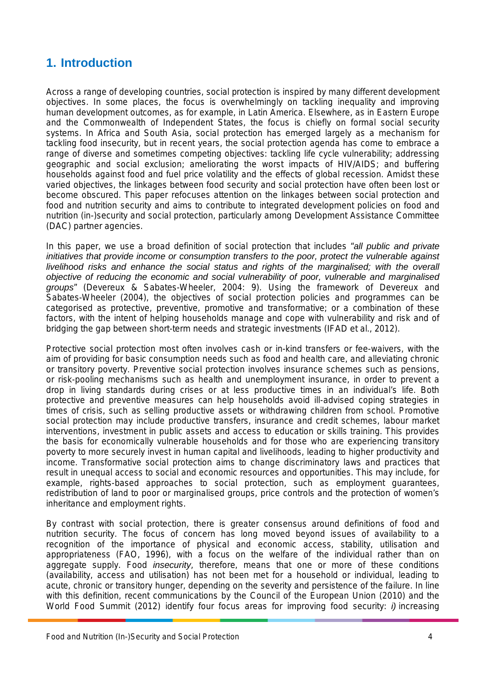## <span id="page-5-0"></span>**1. Introduction**

Across a range of developing countries, social protection is inspired by many different development objectives. In some places, the focus is overwhelmingly on tackling inequality and improving human development outcomes, as for example, in Latin America. Elsewhere, as in Eastern Europe and the Commonwealth of Independent States, the focus is chiefly on formal social security systems. In Africa and South Asia, social protection has emerged largely as a mechanism for tackling food insecurity, but in recent years, the social protection agenda has come to embrace a range of diverse and sometimes competing objectives: tackling life cycle vulnerability; addressing geographic and social exclusion; ameliorating the worst impacts of HIV/AIDS; and buffering households against food and fuel price volatility and the effects of global recession. Amidst these varied objectives, the linkages between food security and social protection have often been lost or become obscured. This paper refocuses attention on the linkages between social protection and food and nutrition security and aims to contribute to integrated development policies on food and nutrition (in-)security and social protection, particularly among Development Assistance Committee (DAC) partner agencies.

In this paper, we use a broad definition of social protection that includes "*all public and private initiatives that provide income or consumption transfers to the poor, protect the vulnerable against livelihood risks and enhance the social status and rights of the marginalised; with the overall objective of reducing the economic and social vulnerability of poor, vulnerable and marginalised groups*" (Devereux & Sabates-Wheeler, 2004: 9). Using the framework of Devereux and Sabates-Wheeler (2004), the objectives of social protection policies and programmes can be categorised as protective, preventive, promotive and transformative; or a combination of these factors, with the intent of helping households manage and cope with vulnerability and risk and of bridging the gap between short-term needs and strategic investments (IFAD et al., 2012).

Protective social protection most often involves cash or in-kind transfers or fee-waivers, with the aim of providing for basic consumption needs such as food and health care, and alleviating chronic or transitory poverty. Preventive social protection involves insurance schemes such as pensions, or risk-pooling mechanisms such as health and unemployment insurance, in order to prevent a drop in living standards during crises or at less productive times in an individual's life. Both protective and preventive measures can help households avoid ill-advised coping strategies in times of crisis, such as selling productive assets or withdrawing children from school. Promotive social protection may include productive transfers, insurance and credit schemes, labour market interventions, investment in public assets and access to education or skills training. This provides the basis for economically vulnerable households and for those who are experiencing transitory poverty to more securely invest in human capital and livelihoods, leading to higher productivity and income. Transformative social protection aims to change discriminatory laws and practices that result in unequal access to social and economic resources and opportunities. This may include, for example, rights-based approaches to social protection, such as employment guarantees, redistribution of land to poor or marginalised groups, price controls and the protection of women's inheritance and employment rights.

By contrast with social protection, there is greater consensus around definitions of food and nutrition security. The focus of concern has long moved beyond issues of availability to a recognition of the importance of physical and economic access, stability, utilisation and appropriateness (FAO, 1996), with a focus on the welfare of the individual rather than on aggregate supply. Food *insecurity*, therefore, means that one or more of these conditions (availability, access and utilisation) has not been met for a household or individual, leading to acute, chronic or transitory hunger, depending on the severity and persistence of the failure. In line with this definition, recent communications by the Council of the European Union (2010) and the World Food Summit (2012) identify four focus areas for improving food security: *i)* increasing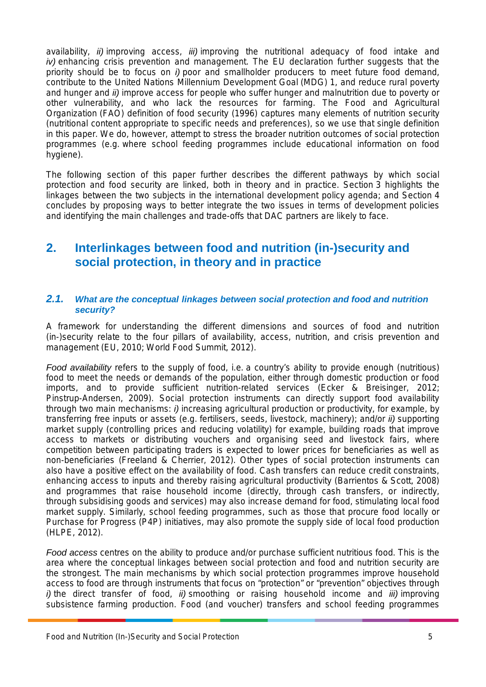availability, *ii)* improving access, *iii)* improving the nutritional adequacy of food intake and *iv*) enhancing crisis prevention and management. The EU declaration further suggests that the priority should be to focus on *i)* poor and smallholder producers to meet future food demand, contribute to the United Nations Millennium Development Goal (MDG) 1, and reduce rural poverty and hunger and *ii)* improve access for people who suffer hunger and malnutrition due to poverty or other vulnerability, and who lack the resources for farming. The Food and Agricultural Organization (FAO) definition of food security (1996) captures many elements of nutrition security (nutritional content appropriate to specific needs and preferences), so we use that single definition in this paper. We do, however, attempt to stress the broader nutrition outcomes of social protection programmes (e.g. where school feeding programmes include educational information on food hygiene).

<span id="page-6-0"></span>The following section of this paper further describes the different pathways by which social protection and food security are linked, both in theory and in practice. Section 3 highlights the linkages between the two subjects in the international development policy agenda; and Section 4 concludes by proposing ways to better integrate the two issues in terms of development policies and identifying the main challenges and trade-offs that DAC partners are likely to face.

## <span id="page-6-1"></span>**2. Interlinkages between food and nutrition (in-)security and social protection, in theory and in practice**

#### *2.1. What are the conceptual linkages between social protection and food and nutrition security?*

A framework for understanding the different dimensions and sources of food and nutrition (in-)security relate to the four pillars of availability, access, nutrition, and crisis prevention and management (EU, 2010; World Food Summit, 2012).

*Food availability* refers to the supply of food, i.e. a country's ability to provide enough (nutritious) food to meet the needs or demands of the population, either through domestic production or food imports, and to provide sufficient nutrition-related services (Ecker & Breisinger, 2012; Pinstrup-Andersen, 2009). Social protection instruments can directly support food availability through two main mechanisms: *i)* increasing agricultural production or productivity, for example, by transferring free inputs or assets (e.g. fertilisers, seeds, livestock, machinery); and/or *ii)* supporting market supply (controlling prices and reducing volatility) for example, building roads that improve access to markets or distributing vouchers and organising seed and livestock fairs, where competition between participating traders is expected to lower prices for beneficiaries as well as non-beneficiaries (Freeland & Cherrier, 2012). Other types of social protection instruments can also have a positive effect on the availability of food. Cash transfers can reduce credit constraints, enhancing access to inputs and thereby raising agricultural productivity (Barrientos & Scott, 2008) and programmes that raise household income (directly, through cash transfers, or indirectly, through subsidising goods and services) may also increase demand for food, stimulating local food market supply. Similarly, school feeding programmes, such as those that procure food locally or Purchase for Progress (P4P) initiatives, may also promote the supply side of local food production (HLPE, 2012).

*Food access* centres on the ability to produce and/or purchase sufficient nutritious food. This is the area where the conceptual linkages between social protection and food and nutrition security are the strongest. The main mechanisms by which social protection programmes improve household access to food are through instruments that focus on "protection" or "prevention" objectives through *i)* the direct transfer of food, *ii)* smoothing or raising household income and *iii)* improving subsistence farming production. Food (and voucher) transfers and school feeding programmes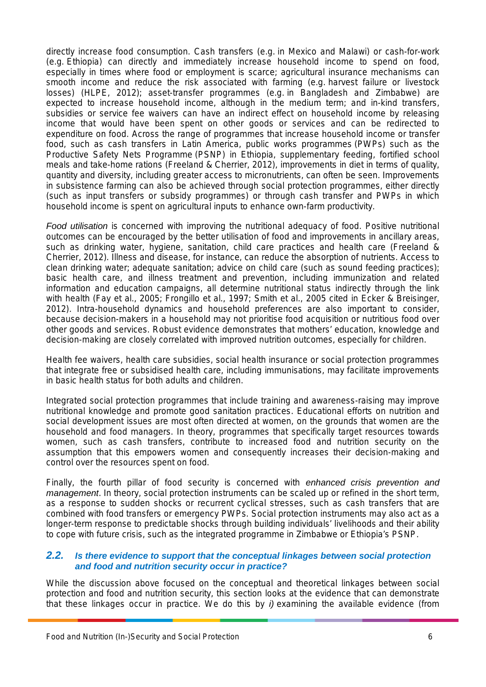directly increase food consumption. Cash transfers (e.g. in Mexico and Malawi) or cash-for-work (e.g. Ethiopia) can directly and immediately increase household income to spend on food, especially in times where food or employment is scarce; agricultural insurance mechanisms can smooth income and reduce the risk associated with farming (e.g. harvest failure or livestock losses) (HLPE, 2012); asset-transfer programmes (e.g. in Bangladesh and Zimbabwe) are expected to increase household income, although in the medium term; and in-kind transfers, subsidies or service fee waivers can have an indirect effect on household income by releasing income that would have been spent on other goods or services and can be redirected to expenditure on food. Across the range of programmes that increase household income or transfer food, such as cash transfers in Latin America, public works programmes (PWPs) such as the Productive Safety Nets Programme (PSNP) in Ethiopia, supplementary feeding, fortified school meals and take-home rations (Freeland & Cherrier, 2012), improvements in diet in terms of quality, quantity and diversity, including greater access to micronutrients, can often be seen. Improvements in subsistence farming can also be achieved through social protection programmes, either directly (such as input transfers or subsidy programmes) or through cash transfer and PWPs in which household income is spent on agricultural inputs to enhance own-farm productivity.

*Food utilisation* is concerned with improving the nutritional adequacy of food. Positive nutritional outcomes can be encouraged by the better utilisation of food and improvements in ancillary areas, such as drinking water, hygiene, sanitation, child care practices and health care (Freeland & Cherrier, 2012). Illness and disease, for instance, can reduce the absorption of nutrients. Access to clean drinking water; adequate sanitation; advice on child care (such as sound feeding practices); basic health care, and illness treatment and prevention, including immunization and related information and education campaigns, all determine nutritional status indirectly through the link with health (Fay et al., 2005; Frongillo et al., 1997; Smith et al., 2005 cited in Ecker & Breisinger, 2012). Intra-household dynamics and household preferences are also important to consider, because decision-makers in a household may not prioritise food acquisition or nutritious food over other goods and services. Robust evidence demonstrates that mothers' education, knowledge and decision-making are closely correlated with improved nutrition outcomes, especially for children.

Health fee waivers, health care subsidies, social health insurance or social protection programmes that integrate free or subsidised health care, including immunisations, may facilitate improvements in basic health status for both adults and children.

Integrated social protection programmes that include training and awareness-raising may improve nutritional knowledge and promote good sanitation practices. Educational efforts on nutrition and social development issues are most often directed at women, on the grounds that women are the household and food managers. In theory, programmes that specifically target resources towards women, such as cash transfers, contribute to increased food and nutrition security on the assumption that this empowers women and consequently increases their decision-making and control over the resources spent on food.

<span id="page-7-0"></span>Finally, the fourth pillar of food security is concerned with *enhanced crisis prevention and management*. In theory, social protection instruments can be scaled up or refined in the short term, as a response to sudden shocks or recurrent cyclical stresses, such as cash transfers that are combined with food transfers or emergency PWPs. Social protection instruments may also act as a longer-term response to predictable shocks through building individuals' livelihoods and their ability to cope with future crisis, such as the integrated programme in Zimbabwe or Ethiopia's PSNP.

#### *2.2. Is there evidence to support that the conceptual linkages between social protection and food and nutrition security occur in practice?*

While the discussion above focused on the conceptual and theoretical linkages between social protection and food and nutrition security, this section looks at the evidence that can demonstrate that these linkages occur in practice. We do this by *i)* examining the available evidence (from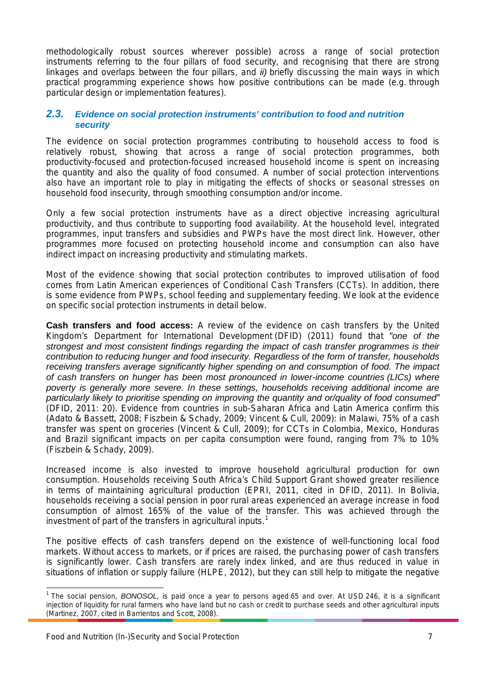<span id="page-8-0"></span>methodologically robust sources wherever possible) across a range of social protection instruments referring to the four pillars of food security, and recognising that there are strong linkages and overlaps between the four pillars, and *ii)* briefly discussing the main ways in which practical programming experience shows how positive contributions can be made (e.g. through particular design or implementation features).

#### *2.3. Evidence on social protection instruments' contribution to food and nutrition security*

The evidence on social protection programmes contributing to household access to food is relatively robust, showing that across a range of social protection programmes, both productivity-focused and protection-focused increased household income is spent on increasing the quantity and also the quality of food consumed. A number of social protection interventions also have an important role to play in mitigating the effects of shocks or seasonal stresses on household food insecurity, through smoothing consumption and/or income.

Only a few social protection instruments have as a direct objective increasing agricultural productivity, and thus contribute to supporting food availability. At the household level, integrated programmes, input transfers and subsidies and PWPs have the most direct link. However, other programmes more focused on protecting household income and consumption can also have indirect impact on increasing productivity and stimulating markets.

Most of the evidence showing that social protection contributes to improved utilisation of food comes from Latin American experiences of Conditional Cash Transfers (CCTs). In addition, there is some evidence from PWPs, school feeding and supplementary feeding. We look at the evidence on specific social protection instruments in detail below.

**Cash transfers and food access:** A review of the evidence on cash transfers by the United Kingdom's Department for International Development (DFID) (2011) found that "*one of the strongest and most consistent findings regarding the impact of cash transfer programmes is their contribution to reducing hunger and food insecurity. Regardless of the form of transfer, households receiving transfers average significantly higher spending on and consumption of food. The impact of cash transfers on hunger has been most pronounced in lower-income countries (LICs) where poverty is generally more severe. In these settings, households receiving additional income are particularly likely to prioritise spending on improving the quantity and or/quality of food consumed*" (DFID, 2011: 20). Evidence from countries in sub-Saharan Africa and Latin America confirm this (Adato & Bassett, 2008; Fiszbein & Schady, 2009; Vincent & Cull, 2009): in Malawi, 75% of a cash transfer was spent on groceries (Vincent & Cull, 2009); for CCTs in Colombia, Mexico, Honduras and Brazil significant impacts on per capita consumption were found, ranging from 7% to 10% (Fiszbein & Schady, 2009).

Increased income is also invested to improve household agricultural production for own consumption. Households receiving South Africa's Child Support Grant showed greater resilience in terms of maintaining agricultural production (EPRI, 2011, cited in DFID, 2011). In Bolivia, households receiving a social pension in poor rural areas experienced an average increase in food consumption of almost 165% of the value of the transfer. This was achieved through the investment of part of the transfers in agricultural inputs.<sup>[1](#page-8-1)</sup>

The positive effects of cash transfers depend on the existence of well-functioning local food markets. Without access to markets, or if prices are raised, the purchasing power of cash transfers is significantly lower. Cash transfers are rarely index linked, and are thus reduced in value in situations of inflation or supply failure (HLPE, 2012), but they can still help to mitigate the negative

<span id="page-8-1"></span><sup>&</sup>lt;sup>1</sup> The social pension, *BONOSOL,* is paid once a year to persons aged 65 and over. At USD 246, it is a significant injection of liquidity for rural farmers who have land but no cash or credit to purchase seeds and other agricultural inputs (Martinez, 2007, cited in Barrientos and Scott, 2008).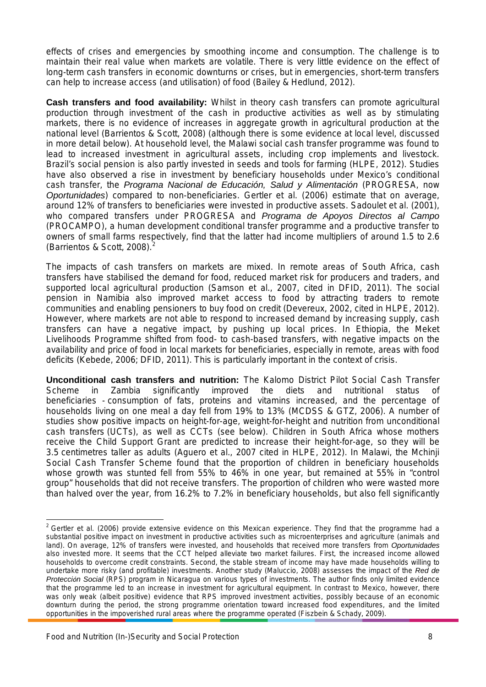effects of crises and emergencies by smoothing income and consumption. The challenge is to maintain their real value when markets are volatile. There is very little evidence on the effect of long-term cash transfers in economic downturns or crises, but in emergencies, short-term transfers can help to increase access (and utilisation) of food (Bailey & Hedlund, 2012).

**Cash transfers and food availability:** Whilst in theory cash transfers can promote agricultural production through investment of the cash in productive activities as well as by stimulating markets, there is no evidence of increases in aggregate growth in agricultural production at the national level (Barrientos & Scott, 2008) (although there is some evidence at local level, discussed in more detail below). At household level, the Malawi social cash transfer programme was found to lead to increased investment in agricultural assets, including crop implements and livestock. Brazil's social pension is also partly invested in seeds and tools for farming (HLPE, 2012). Studies have also observed a rise in investment by beneficiary households under Mexico's conditional cash transfer, the *Programa Nacional de Educación, Salud y Alimentación* (PROGRESA, now *Oportunidades*) compared to non-beneficiaries. Gertler et al. (2006) estimate that on average, around 12% of transfers to beneficiaries were invested in productive assets. Sadoulet et al. (2001), who compared transfers under PROGRESA and *Programa de Apoyos Directos al Campo* (PROCAMPO), a human development conditional transfer programme and a productive transfer to owners of small farms respectively, find that the latter had income multipliers of around 1.5 to 2.6 (Barrientos & Scott, [2](#page-9-0)008). $<sup>2</sup>$ </sup>

The impacts of cash transfers on markets are mixed. In remote areas of South Africa, cash transfers have stabilised the demand for food, reduced market risk for producers and traders, and supported local agricultural production (Samson et al., 2007, cited in DFID, 2011). The social pension in Namibia also improved market access to food by attracting traders to remote communities and enabling pensioners to buy food on credit (Devereux, 2002, cited in HLPE, 2012). However, where markets are not able to respond to increased demand by increasing supply, cash transfers can have a negative impact, by pushing up local prices. In Ethiopia, the Meket Livelihoods Programme shifted from food- to cash-based transfers, with negative impacts on the availability and price of food in local markets for beneficiaries, especially in remote, areas with food deficits (Kebede, 2006; DFID, 2011). This is particularly important in the context of crisis.

**Unconditional cash transfers and nutrition:** The Kalomo District Pilot Social Cash Transfer<br>Scheme in Zambia significantly improved the diets and nutritional status of Scheme in Zambia significantly improved the diets and nutritional status of beneficiaries - consumption of fats, proteins and vitamins increased, and the percentage of households living on one meal a day fell from 19% to 13% (MCDSS & GTZ, 2006). A number of studies show positive impacts on height-for-age, weight-for-height and nutrition from unconditional cash transfers (UCTs), as well as CCTs (see below). Children in South Africa whose mothers receive the Child Support Grant are predicted to increase their height-for-age, so they will be 3.5 centimetres taller as adults (Aguero et al., 2007 cited in HLPE, 2012). In Malawi, the Mchinji Social Cash Transfer Scheme found that the proportion of children in beneficiary households whose growth was stunted fell from 55% to 46% in one year, but remained at 55% in "control group" households that did not receive transfers. The proportion of children who were wasted more than halved over the year, from 16.2% to 7.2% in beneficiary households, but also fell significantly

<span id="page-9-0"></span> $2$  Gertler et al. (2006) provide extensive evidence on this Mexican experience. They find that the programme had a substantial positive impact on investment in productive activities such as microenterprises and agriculture (animals and land). On average, 12% of transfers were invested, and households that received more transfers from *Oportunidades* also invested more. It seems that the CCT helped alleviate two market failures. First, the increased income allowed households to overcome credit constraints. Second, the stable stream of income may have made households willing to undertake more risky (and profitable) investments. Another study (Maluccio, 2008) assesses the impact of the *Red de Protección Social* (RPS) program in Nicaragua on various types of investments. The author finds only limited evidence that the programme led to an increase in investment for agricultural equipment. In contrast to Mexico, however, there was only weak (albeit positive) evidence that RPS improved investment activities, possibly because of an economic downturn during the period, the strong programme orientation toward increased food expenditures, and the limited opportunities in the impoverished rural areas where the programme operated (Fiszbein & Schady, 2009).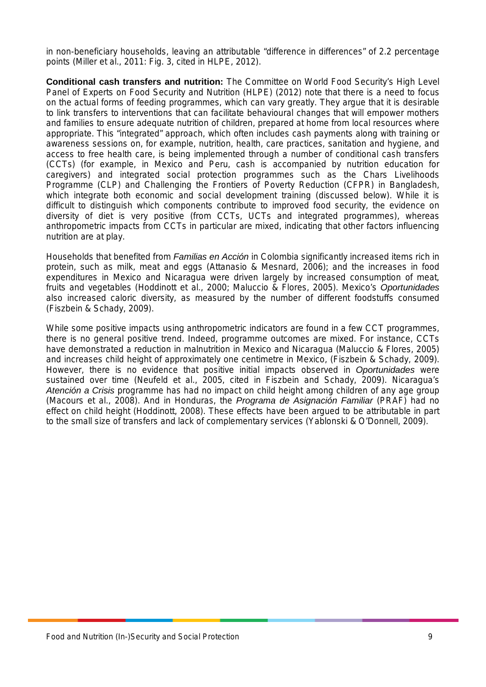in non-beneficiary households, leaving an attributable "difference in differences" of 2.2 percentage points (Miller et al., 2011: Fig. 3, cited in HLPE, 2012).

**Conditional cash transfers and nutrition:** The Committee on World Food Security's High Level Panel of Experts on Food Security and Nutrition (HLPE) (2012) note that there is a need to focus on the actual forms of feeding programmes, which can vary greatly. They argue that it is desirable to link transfers to interventions that can facilitate behavioural changes that will empower mothers and families to ensure adequate nutrition of children, prepared at home from local resources where appropriate. This "integrated" approach, which often includes cash payments along with training or awareness sessions on, for example, nutrition, health, care practices, sanitation and hygiene, and access to free health care, is being implemented through a number of conditional cash transfers (CCTs) (for example, in Mexico and Peru, cash is accompanied by nutrition education for caregivers) and integrated social protection programmes such as the Chars Livelihoods Programme (CLP) and Challenging the Frontiers of Poverty Reduction (CFPR) in Bangladesh, which integrate both economic and social development training (discussed below). While it is difficult to distinguish which components contribute to improved food security, the evidence on diversity of diet is very positive (from CCTs, UCTs and integrated programmes), whereas anthropometric impacts from CCTs in particular are mixed, indicating that other factors influencing nutrition are at play.

Households that benefited from *Familias en Acción* in Colombia significantly increased items rich in protein, such as milk, meat and eggs (Attanasio & Mesnard, 2006); and the increases in food expenditures in Mexico and Nicaragua were driven largely by increased consumption of meat, fruits and vegetables (Hoddinott et al., 2000; Maluccio & Flores, 2005). Mexico's *Oportunidades* also increased caloric diversity, as measured by the number of different foodstuffs consumed (Fiszbein & Schady, 2009).

While some positive impacts using anthropometric indicators are found in a few CCT programmes, there is no general positive trend. Indeed, programme outcomes are mixed. For instance, CCTs have demonstrated a reduction in malnutrition in Mexico and Nicaragua (Maluccio & Flores, 2005) and increases child height of approximately one centimetre in Mexico, (Fiszbein & Schady, 2009). However, there is no evidence that positive initial impacts observed in *Oportunidades* were sustained over time (Neufeld et al., 2005, cited in Fiszbein and Schady, 2009). Nicaragua's *Atención a Crisis* programme has had no impact on child height among children of any age group (Macours et al., 2008). And in Honduras, the *Programa de Asignación Familiar* (PRAF) had no effect on child height (Hoddinott, 2008). These effects have been argued to be attributable in part to the small size of transfers and lack of complementary services (Yablonski & O'Donnell, 2009).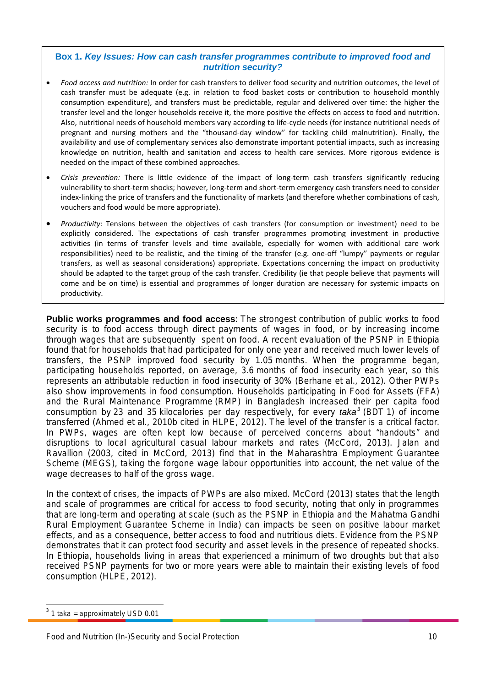#### <span id="page-11-0"></span>**Box 1.** *Key Issues: How can cash transfer programmes contribute to improved food and nutrition security?*

- *Food access and nutrition:* In order for cash transfers to deliver food security and nutrition outcomes, the level of cash transfer must be adequate (e.g. in relation to food basket costs or contribution to household monthly consumption expenditure), and transfers must be predictable, regular and delivered over time: the higher the transfer level and the longer households receive it, the more positive the effects on access to food and nutrition. Also, nutritional needs of household members vary according to life-cycle needs (for instance nutritional needs of pregnant and nursing mothers and the "thousand-day window" for tackling child malnutrition). Finally, the availability and use of complementary services also demonstrate important potential impacts, such as increasing knowledge on nutrition, health and sanitation and access to health care services. More rigorous evidence is needed on the impact of these combined approaches.
- *Crisis prevention:* There is little evidence of the impact of long-term cash transfers significantly reducing vulnerability to short-term shocks; however, long-term and short-term emergency cash transfers need to consider index-linking the price of transfers and the functionality of markets (and therefore whether combinations of cash, vouchers and food would be more appropriate).
- *Productivity:* Tensions between the objectives of cash transfers (for consumption or investment) need to be explicitly considered. The expectations of cash transfer programmes promoting investment in productive activities (in terms of transfer levels and time available, especially for women with additional care work responsibilities) need to be realistic, and the timing of the transfer (e.g. one-off "lumpy" payments or regular transfers, as well as seasonal considerations) appropriate. Expectations concerning the impact on productivity should be adapted to the target group of the cash transfer. Credibility (ie that people believe that payments will come and be on time) is essential and programmes of longer duration are necessary for systemic impacts on productivity.

**Public works programmes and food access**: The strongest contribution of public works to food security is to food access through direct payments of wages in food, or by increasing income through wages that are subsequently spent on food. A recent evaluation of the PSNP in Ethiopia found that for households that had participated for only one year and received much lower levels of transfers, the PSNP improved food security by 1.05 months. When the programme began, participating households reported, on average, 3.6 months of food insecurity each year, so this represents an attributable reduction in food insecurity of 30% (Berhane et al., 2012). Other PWPs also show improvements in food consumption. Households participating in Food for Assets (FFA) and the Rural Maintenance Programme (RMP) in Bangladesh increased their per capita food consumption by 23 and 35 kilocalories per day respectively, for every *taka[3](#page-11-1)* (BDT 1) of income transferred (Ahmed et al., 2010b cited in HLPE, 2012). The level of the transfer is a critical factor. In PWPs, wages are often kept low because of perceived concerns about "handouts" and disruptions to local agricultural casual labour markets and rates (McCord, 2013). Jalan and Ravallion (2003, cited in McCord, 2013) find that in the Maharashtra Employment Guarantee Scheme (MEGS), taking the forgone wage labour opportunities into account, the net value of the wage decreases to half of the gross wage.

In the context of crises, the impacts of PWPs are also mixed. McCord (2013) states that the length and scale of programmes are critical for access to food security, noting that only in programmes that are long-term and operating at scale (such as the PSNP in Ethiopia and the Mahatma Gandhi Rural Employment Guarantee Scheme in India) can impacts be seen on positive labour market effects, and as a consequence, better access to food and nutritious diets. Evidence from the PSNP demonstrates that it can protect food security and asset levels in the presence of repeated shocks. In Ethiopia, households living in areas that experienced a minimum of two droughts but that also received PSNP payments for two or more years were able to maintain their existing levels of food consumption (HLPE, 2012).

<span id="page-11-1"></span> $3$  1 taka = approximately USD 0.01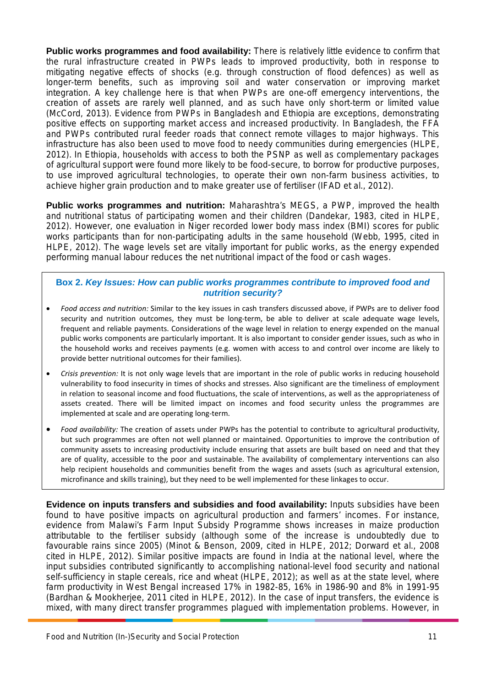**Public works programmes and food availability:** There is relatively little evidence to confirm that the rural infrastructure created in PWPs leads to improved productivity, both in response to mitigating negative effects of shocks (e.g. through construction of flood defences) as well as longer-term benefits, such as improving soil and water conservation or improving market integration. A key challenge here is that when PWPs are one-off emergency interventions, the creation of assets are rarely well planned, and as such have only short-term or limited value (McCord, 2013). Evidence from PWPs in Bangladesh and Ethiopia are exceptions, demonstrating positive effects on supporting market access and increased productivity. In Bangladesh, the FFA and PWPs contributed rural feeder roads that connect remote villages to major highways. This infrastructure has also been used to move food to needy communities during emergencies (HLPE, 2012). In Ethiopia, households with access to both the PSNP as well as complementary packages of agricultural support were found more likely to be food-secure, to borrow for productive purposes, to use improved agricultural technologies, to operate their own non-farm business activities, to achieve higher grain production and to make greater use of fertiliser (IFAD et al., 2012).

<span id="page-12-0"></span>**Public works programmes and nutrition:** Maharashtra's MEGS, a PWP, improved the health and nutritional status of participating women and their children (Dandekar, 1983, cited in HLPE, 2012). However, one evaluation in Niger recorded lower body mass index (BMI) scores for public works participants than for non-participating adults in the same household (Webb, 1995, cited in HLPE, 2012). The wage levels set are vitally important for public works, as the energy expended performing manual labour reduces the net nutritional impact of the food or cash wages.

#### **Box 2.** *Key Issues: How can public works programmes contribute to improved food and nutrition security?*

- *Food access and nutrition:* Similar to the key issues in cash transfers discussed above, if PWPs are to deliver food security and nutrition outcomes, they must be long-term, be able to deliver at scale adequate wage levels, frequent and reliable payments. Considerations of the wage level in relation to energy expended on the manual public works components are particularly important. It is also important to consider gender issues, such as who in the household works and receives payments (e.g. women with access to and control over income are likely to provide better nutritional outcomes for their families).
- *Crisis prevention:* It is not only wage levels that are important in the role of public works in reducing household vulnerability to food insecurity in times of shocks and stresses. Also significant are the timeliness of employment in relation to seasonal income and food fluctuations, the scale of interventions, as well as the appropriateness of assets created. There will be limited impact on incomes and food security unless the programmes are implemented at scale and are operating long-term.
- *Food availability:* The creation of assets under PWPs has the potential to contribute to agricultural productivity, but such programmes are often not well planned or maintained. Opportunities to improve the contribution of community assets to increasing productivity include ensuring that assets are built based on need and that they are of quality, accessible to the poor and sustainable. The availability of complementary interventions can also help recipient households and communities benefit from the wages and assets (such as agricultural extension, microfinance and skills training), but they need to be well implemented for these linkages to occur.

**Evidence on inputs transfers and subsidies and food availability:** Inputs subsidies have been found to have positive impacts on agricultural production and farmers' incomes. For instance, evidence from Malawi's Farm Input Subsidy Programme shows increases in maize production attributable to the fertiliser subsidy (although some of the increase is undoubtedly due to favourable rains since 2005) (Minot & Benson, 2009, cited in HLPE, 2012; Dorward et al., 2008 cited in HLPE, 2012). Similar positive impacts are found in India at the national level, where the input subsidies contributed significantly to accomplishing national-level food security and national self-sufficiency in staple cereals, rice and wheat (HLPE, 2012); as well as at the state level, where farm productivity in West Bengal increased 17% in 1982-85, 16% in 1986-90 and 8% in 1991-95 (Bardhan & Mookherjee, 2011 cited in HLPE, 2012). In the case of input transfers, the evidence is mixed, with many direct transfer programmes plagued with implementation problems. However, in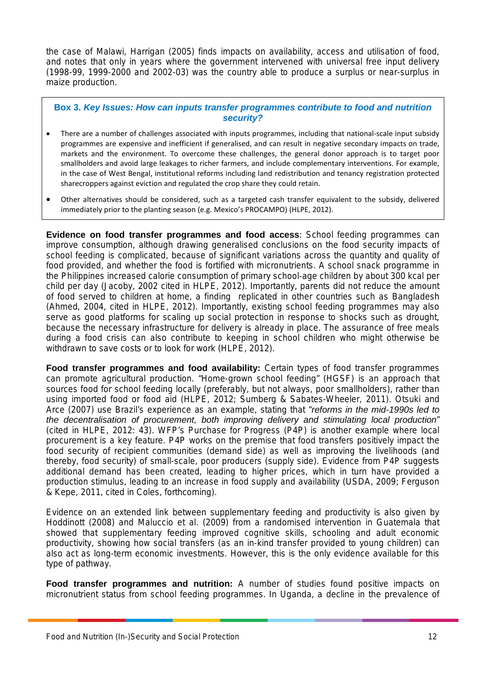<span id="page-13-0"></span>the case of Malawi, Harrigan (2005) finds impacts on availability, access and utilisation of food, and notes that only in years where the government intervened with universal free input delivery (1998-99, 1999-2000 and 2002-03) was the country able to produce a surplus or near-surplus in maize production.

#### **Box 3.** *Key Issues: How can inputs transfer programmes contribute to food and nutrition security?*

- There are a number of challenges associated with inputs programmes, including that national-scale input subsidy programmes are expensive and inefficient if generalised, and can result in negative secondary impacts on trade, markets and the environment. To overcome these challenges, the general donor approach is to target poor smallholders and avoid large leakages to richer farmers, and include complementary interventions. For example, in the case of West Bengal, institutional reforms including land redistribution and tenancy registration protected sharecroppers against eviction and regulated the crop share they could retain.
- Other alternatives should be considered, such as a targeted cash transfer equivalent to the subsidy, delivered immediately prior to the planting season (e.g. Mexico's PROCAMPO) (HLPE, 2012).

**Evidence on food transfer programmes and food access**: School feeding programmes can improve consumption, although drawing generalised conclusions on the food security impacts of school feeding is complicated, because of significant variations across the quantity and quality of food provided, and whether the food is fortified with micronutrients. A school snack programme in the Philippines increased calorie consumption of primary school-age children by about 300 kcal per child per day (Jacoby, 2002 cited in HLPE, 2012). Importantly, parents did not reduce the amount of food served to children at home, a finding replicated in other countries such as Bangladesh (Ahmed, 2004, cited in HLPE, 2012). Importantly, existing school feeding programmes may also serve as good platforms for scaling up social protection in response to shocks such as drought, because the necessary infrastructure for delivery is already in place. The assurance of free meals during a food crisis can also contribute to keeping in school children who might otherwise be withdrawn to save costs or to look for work (HLPE, 2012).

**Food transfer programmes and food availability:** Certain types of food transfer programmes can promote agricultural production. "Home-grown school feeding" (HGSF) is an approach that sources food for school feeding locally (preferably, but not always, poor smallholders), rather than using imported food or food aid (HLPE, 2012; Sumberg & Sabates-Wheeler, 2011). Otsuki and Arce (2007) use Brazil's experience as an example, stating that "*reforms in the mid-1990s led to the decentralisation of procurement, both improving delivery and stimulating local production*" (cited in HLPE, 2012: 43). WFP's Purchase for Progress (P4P) is another example where local procurement is a key feature. P4P works on the premise that food transfers positively impact the food security of recipient communities (demand side) as well as improving the livelihoods (and thereby, food security) of small-scale, poor producers (supply side). Evidence from P4P suggests additional demand has been created, leading to higher prices, which in turn have provided a production stimulus, leading to an increase in food supply and availability (USDA, 2009; Ferguson & Kepe, 2011, cited in Coles, forthcoming).

Evidence on an extended link between supplementary feeding and productivity is also given by Hoddinott (2008) and Maluccio et al. (2009) from a randomised intervention in Guatemala that showed that supplementary feeding improved cognitive skills, schooling and adult economic productivity, showing how social transfers (as an in-kind transfer provided to young children) can also act as long-term economic investments. However, this is the only evidence available for this type of pathway.

**Food transfer programmes and nutrition:** A number of studies found positive impacts on micronutrient status from school feeding programmes. In Uganda, a decline in the prevalence of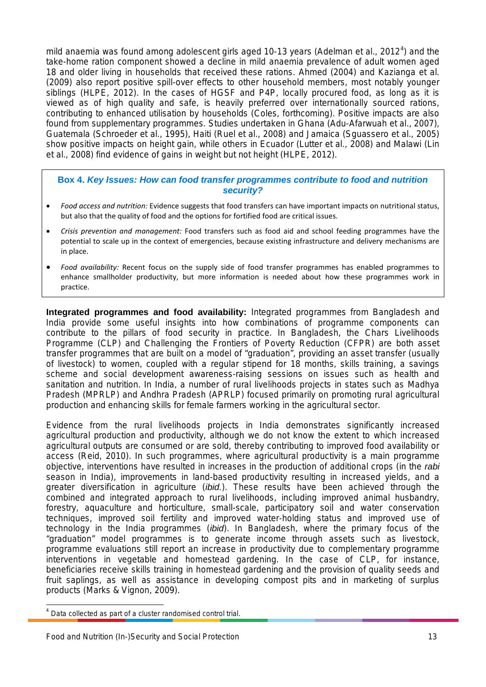mild anaemia was found among adolescent girls aged 10-13 years (Adelman et al., 2012<sup>[4](#page-14-1)</sup>) and the take-home ration component showed a decline in mild anaemia prevalence of adult women aged 18 and older living in households that received these rations. Ahmed (2004) and Kazianga et al. (2009) also report positive spill-over effects to other household members, most notably younger siblings (HLPE, 2012). In the cases of HGSF and P4P, locally procured food, as long as it is viewed as of high quality and safe, is heavily preferred over internationally sourced rations, contributing to enhanced utilisation by households (Coles, forthcoming). Positive impacts are also found from supplementary programmes. Studies undertaken in Ghana (Adu-Afarwuah et al., 2007), Guatemala (Schroeder et al., 1995), Haiti (Ruel et al., 2008) and Jamaica (Sguassero et al., 2005) show positive impacts on height gain, while others in Ecuador (Lutter et al., 2008) and Malawi (Lin et al., 2008) find evidence of gains in weight but not height (HLPE, 2012).

#### <span id="page-14-0"></span>**Box 4.** *Key Issues: How can food transfer programmes contribute to food and nutrition security?*

- *Food access and nutrition:* Evidence suggests that food transfers can have important impacts on nutritional status, but also that the quality of food and the options for fortified food are critical issues.
- *Crisis prevention and management:* Food transfers such as food aid and school feeding programmes have the potential to scale up in the context of emergencies, because existing infrastructure and delivery mechanisms are in place.
- *Food availability:* Recent focus on the supply side of food transfer programmes has enabled programmes to enhance smallholder productivity, but more information is needed about how these programmes work in practice.

**Integrated programmes and food availability:** Integrated programmes from Bangladesh and India provide some useful insights into how combinations of programme components can contribute to the pillars of food security in practice. In Bangladesh, the Chars Livelihoods Programme (CLP) and Challenging the Frontiers of Poverty Reduction (CFPR) are both asset transfer programmes that are built on a model of "graduation", providing an asset transfer (usually of livestock) to women, coupled with a regular stipend for 18 months, skills training, a savings scheme and social development awareness-raising sessions on issues such as health and sanitation and nutrition. In India, a number of rural livelihoods projects in states such as Madhya Pradesh (MPRLP) and Andhra Pradesh (APRLP) focused primarily on promoting rural agricultural production and enhancing skills for female farmers working in the agricultural sector.

Evidence from the rural livelihoods projects in India demonstrates significantly increased agricultural production and productivity, although we do not know the extent to which increased agricultural outputs are consumed or are sold, thereby contributing to improved food availability or access (Reid, 2010). In such programmes, where agricultural productivity is a main programme objective, interventions have resulted in increases in the production of additional crops (in the *rabi* season in India), improvements in land-based productivity resulting in increased yields, and a greater diversification in agriculture (*ibid.*). These results have been achieved through the combined and integrated approach to rural livelihoods, including improved animal husbandry, forestry, aquaculture and horticulture, small-scale, participatory soil and water conservation techniques, improved soil fertility and improved water-holding status and improved use of technology in the India programmes (*ibid*). In Bangladesh, where the primary focus of the "graduation" model programmes is to generate income through assets such as livestock, programme evaluations still report an increase in productivity due to complementary programme interventions in vegetable and homestead gardening. In the case of CLP, for instance, beneficiaries receive skills training in homestead gardening and the provision of quality seeds and fruit saplings, as well as assistance in developing compost pits and in marketing of surplus products (Marks & Vignon, 2009).

<span id="page-14-1"></span> <sup>4</sup> Data collected as part of a cluster randomised control trial.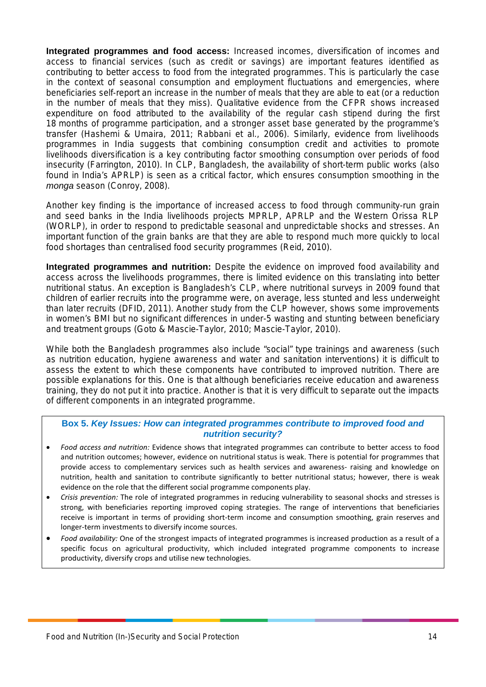**Integrated programmes and food access:** Increased incomes, diversification of incomes and access to financial services (such as credit or savings) are important features identified as contributing to better access to food from the integrated programmes. This is particularly the case in the context of seasonal consumption and employment fluctuations and emergencies, where beneficiaries self-report an increase in the number of meals that they are able to eat (or a reduction in the number of meals that they miss). Qualitative evidence from the CFPR shows increased expenditure on food attributed to the availability of the regular cash stipend during the first 18 months of programme participation, and a stronger asset base generated by the programme's transfer (Hashemi & Umaira, 2011; Rabbani et al., 2006). Similarly, evidence from livelihoods programmes in India suggests that combining consumption credit and activities to promote livelihoods diversification is a key contributing factor smoothing consumption over periods of food insecurity (Farrington, 2010). In CLP, Bangladesh, the availability of short-term public works (also found in India's APRLP) is seen as a critical factor, which ensures consumption smoothing in the *monga* season (Conroy, 2008).

Another key finding is the importance of increased access to food through community-run grain and seed banks in the India livelihoods projects MPRLP, APRLP and the Western Orissa RLP (WORLP), in order to respond to predictable seasonal and unpredictable shocks and stresses. An important function of the grain banks are that they are able to respond much more quickly to local food shortages than centralised food security programmes (Reid, 2010).

**Integrated programmes and nutrition:** Despite the evidence on improved food availability and access across the livelihoods programmes, there is limited evidence on this translating into better nutritional status. An exception is Bangladesh's CLP, where nutritional surveys in 2009 found that children of earlier recruits into the programme were, on average, less stunted and less underweight than later recruits (DFID, 2011). Another study from the CLP however, shows some improvements in women's BMI but no significant differences in under-5 wasting and stunting between beneficiary and treatment groups (Goto & Mascie-Taylor, 2010; Mascie-Taylor, 2010).

<span id="page-15-0"></span>While both the Bangladesh programmes also include "social" type trainings and awareness (such as nutrition education, hygiene awareness and water and sanitation interventions) it is difficult to assess the extent to which these components have contributed to improved nutrition. There are possible explanations for this. One is that although beneficiaries receive education and awareness training, they do not put it into practice. Another is that it is very difficult to separate out the impacts of different components in an integrated programme.

#### **Box 5.** *Key Issues: How can integrated programmes contribute to improved food and nutrition security?*

- *Food access and nutrition:* Evidence shows that integrated programmes can contribute to better access to food and nutrition outcomes; however, evidence on nutritional status is weak. There is potential for programmes that provide access to complementary services such as health services and awareness- raising and knowledge on nutrition, health and sanitation to contribute significantly to better nutritional status; however, there is weak evidence on the role that the different social programme components play.
- *Crisis prevention:* The role of integrated programmes in reducing vulnerability to seasonal shocks and stresses is strong, with beneficiaries reporting improved coping strategies. The range of interventions that beneficiaries receive is important in terms of providing short-term income and consumption smoothing, grain reserves and longer-term investments to diversify income sources.
- *Food availability:* One of the strongest impacts of integrated programmes is increased production as a result of a specific focus on agricultural productivity, which included integrated programme components to increase productivity, diversify crops and utilise new technologies.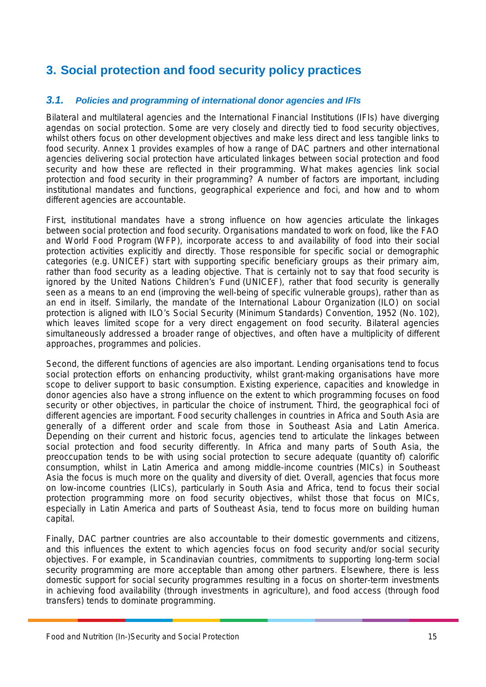## <span id="page-16-0"></span>**3. Social protection and food security policy practices**

#### *3.1. Policies and programming of international donor agencies and IFIs*

Bilateral and multilateral agencies and the International Financial Institutions (IFIs) have diverging agendas on social protection. Some are very closely and directly tied to food security objectives, whilst others focus on other development objectives and make less direct and less tangible links to food security. Annex 1 provides examples of how a range of DAC partners and other international agencies delivering social protection have articulated linkages between social protection and food security and how these are reflected in their programming. What makes agencies link social protection and food security in their programming? A number of factors are important, including institutional mandates and functions, geographical experience and foci, and how and to whom different agencies are accountable.

First, institutional mandates have a strong influence on how agencies articulate the linkages between social protection and food security. Organisations mandated to work on food, like the FAO and World Food Program (WFP), incorporate access to and availability of food into their social protection activities explicitly and directly. Those responsible for specific social or demographic categories (e.g. UNICEF) start with supporting specific beneficiary groups as their primary aim, rather than food security as a leading objective. That is certainly not to say that food security is ignored by the United Nations Children's Fund (UNICEF), rather that food security is generally seen as a means to an end (improving the well-being of specific vulnerable groups), rather than as an end in itself. Similarly, the mandate of the International Labour Organization (ILO) on social protection is aligned with ILO's Social Security (Minimum Standards) Convention, 1952 (No. 102), which leaves limited scope for a very direct engagement on food security. Bilateral agencies simultaneously addressed a broader range of objectives, and often have a multiplicity of different approaches, programmes and policies.

Second, the different functions of agencies are also important. Lending organisations tend to focus social protection efforts on enhancing productivity, whilst grant-making organisations have more scope to deliver support to basic consumption. Existing experience, capacities and knowledge in donor agencies also have a strong influence on the extent to which programming focuses on food security or other objectives, in particular the choice of instrument. Third, the geographical foci of different agencies are important. Food security challenges in countries in Africa and South Asia are generally of a different order and scale from those in Southeast Asia and Latin America. Depending on their current and historic focus, agencies tend to articulate the linkages between social protection and food security differently. In Africa and many parts of South Asia, the preoccupation tends to be with using social protection to secure adequate (quantity of) calorific consumption, whilst in Latin America and among middle-income countries (MICs) in Southeast Asia the focus is much more on the quality and diversity of diet. Overall, agencies that focus more on low-income countries (LICs), particularly in South Asia and Africa, tend to focus their social protection programming more on food security objectives, whilst those that focus on MICs, especially in Latin America and parts of Southeast Asia, tend to focus more on building human capital.

Finally, DAC partner countries are also accountable to their domestic governments and citizens, and this influences the extent to which agencies focus on food security and/or social security objectives. For example, in Scandinavian countries, commitments to supporting long-term social security programming are more acceptable than among other partners. Elsewhere, there is less domestic support for social security programmes resulting in a focus on shorter-term investments in achieving food availability (through investments in agriculture), and food access (through food transfers) tends to dominate programming.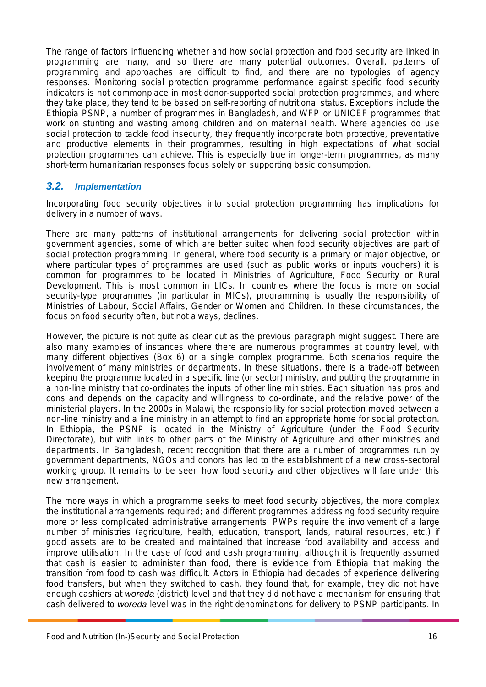The range of factors influencing whether and how social protection and food security are linked in programming are many, and so there are many potential outcomes. Overall, patterns of programming and approaches are difficult to find, and there are no typologies of agency responses. Monitoring social protection programme performance against specific food security indicators is not commonplace in most donor-supported social protection programmes, and where they take place, they tend to be based on self-reporting of nutritional status. Exceptions include the Ethiopia PSNP, a number of programmes in Bangladesh, and WFP or UNICEF programmes that work on stunting and wasting among children and on maternal health. Where agencies do use social protection to tackle food insecurity, they frequently incorporate both protective, preventative and productive elements in their programmes, resulting in high expectations of what social protection programmes can achieve. This is especially true in longer-term programmes, as many short-term humanitarian responses focus solely on supporting basic consumption.

#### <span id="page-17-0"></span>*3.2. Implementation*

Incorporating food security objectives into social protection programming has implications for delivery in a number of ways.

There are many patterns of institutional arrangements for delivering social protection within government agencies, some of which are better suited when food security objectives are part of social protection programming. In general, where food security is a primary or major objective, or where particular types of programmes are used (such as public works or inputs vouchers) it is common for programmes to be located in Ministries of Agriculture, Food Security or Rural Development. This is most common in LICs. In countries where the focus is more on social security-type programmes (in particular in MICs), programming is usually the responsibility of Ministries of Labour, Social Affairs, Gender or Women and Children. In these circumstances, the focus on food security often, but not always, declines.

However, the picture is not quite as clear cut as the previous paragraph might suggest. There are also many examples of instances where there are numerous programmes at country level, with many different objectives [\(Box](#page-18-1) 6) or a single complex programme. Both scenarios require the involvement of many ministries or departments. In these situations, there is a trade-off between keeping the programme located in a specific line (or sector) ministry, and putting the programme in a non-line ministry that co-ordinates the inputs of other line ministries. Each situation has pros and cons and depends on the capacity and willingness to co-ordinate, and the relative power of the ministerial players. In the 2000s in Malawi, the responsibility for social protection moved between a non-line ministry and a line ministry in an attempt to find an appropriate home for social protection. In Ethiopia, the PSNP is located in the Ministry of Agriculture (under the Food Security Directorate), but with links to other parts of the Ministry of Agriculture and other ministries and departments. In Bangladesh, recent recognition that there are a number of programmes run by government departments, NGOs and donors has led to the establishment of a new cross-sectoral working group. It remains to be seen how food security and other objectives will fare under this new arrangement.

The more ways in which a programme seeks to meet food security objectives, the more complex the institutional arrangements required; and different programmes addressing food security require more or less complicated administrative arrangements. PWPs require the involvement of a large number of ministries (agriculture, health, education, transport, lands, natural resources, etc.) if good assets are to be created and maintained that increase food availability and access and improve utilisation. In the case of food and cash programming, although it is frequently assumed that cash is easier to administer than food, there is evidence from Ethiopia that making the transition from food to cash was difficult. Actors in Ethiopia had decades of experience delivering food transfers, but when they switched to cash, they found that, for example, they did not have enough cashiers at *woreda* (district) level and that they did not have a mechanism for ensuring that cash delivered to *woreda* level was in the right denominations for delivery to PSNP participants. In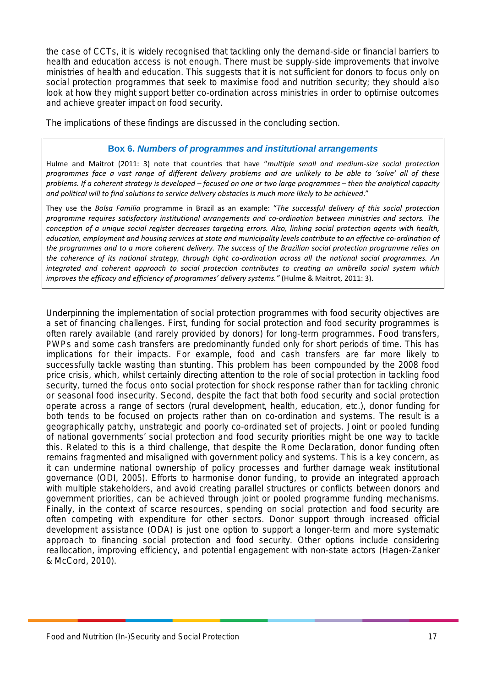the case of CCTs, it is widely recognised that tackling only the demand-side or financial barriers to health and education access is not enough. There must be supply-side improvements that involve ministries of health and education. This suggests that it is not sufficient for donors to focus only on social protection programmes that seek to maximise food and nutrition security; they should also look at how they might support better co-ordination across ministries in order to optimise outcomes and achieve greater impact on food security.

<span id="page-18-0"></span>The implications of these findings are discussed in the concluding section.

#### **Box 6.** *Numbers of programmes and institutional arrangements*

<span id="page-18-1"></span>Hulme and Maitrot (2011: 3) note that countries that have "*multiple small and medium-size social protection programmes face a vast range of different delivery problems and are unlikely to be able to 'solve' all of these problems. If a coherent strategy is developed – focused on one or two large programmes – then the analytical capacity and political will to find solutions to service delivery obstacles is much more likely to be achieved*."

They use the *Bolsa Familia* programme in Brazil as an example: "*The successful delivery of this social protection programme requires satisfactory institutional arrangements and co-ordination between ministries and sectors. The conception of a unique social register decreases targeting errors. Also, linking social protection agents with health, education, employment and housing services at state and municipality levels contribute to an effective co-ordination of the programmes and to a more coherent delivery. The success of the Brazilian social protection programme relies on the coherence of its national strategy, through tight co-ordination across all the national social programmes. An integrated and coherent approach to social protection contributes to creating an umbrella social system which improves the efficacy and efficiency of programmes' delivery systems."* (Hulme & Maitrot, 2011: 3).

Underpinning the implementation of social protection programmes with food security objectives are a set of financing challenges. First, funding for social protection and food security programmes is often rarely available (and rarely provided by donors) for long-term programmes. Food transfers, PWPs and some cash transfers are predominantly funded only for short periods of time. This has implications for their impacts. For example, food and cash transfers are far more likely to successfully tackle wasting than stunting. This problem has been compounded by the 2008 food price crisis, which, whilst certainly directing attention to the role of social protection in tackling food security, turned the focus onto social protection for shock response rather than for tackling chronic or seasonal food insecurity. Second, despite the fact that both food security and social protection operate across a range of sectors (rural development, health, education, etc.), donor funding for both tends to be focused on projects rather than on co-ordination and systems. The result is a geographically patchy, unstrategic and poorly co-ordinated set of projects. Joint or pooled funding of national governments' social protection and food security priorities might be one way to tackle this. Related to this is a third challenge, that despite the Rome Declaration, donor funding often remains fragmented and misaligned with government policy and systems. This is a key concern, as it can undermine national ownership of policy processes and further damage weak institutional governance (ODI, 2005). Efforts to harmonise donor funding, to provide an integrated approach with multiple stakeholders, and avoid creating parallel structures or conflicts between donors and government priorities, can be achieved through joint or pooled programme funding mechanisms. Finally, in the context of scarce resources, spending on social protection and food security are often competing with expenditure for other sectors. Donor support through increased official development assistance (ODA) is just one option to support a longer-term and more systematic approach to financing social protection and food security. Other options include considering reallocation, improving efficiency, and potential engagement with non-state actors (Hagen-Zanker & McCord, 2010).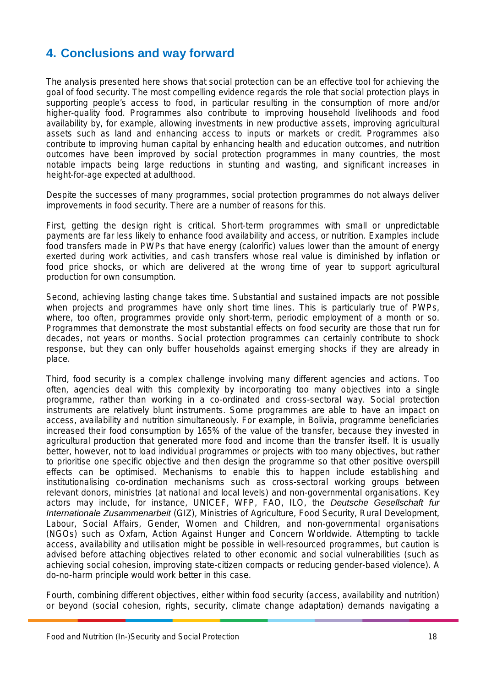## <span id="page-19-0"></span>**4. Conclusions and way forward**

The analysis presented here shows that social protection can be an effective tool for achieving the goal of food security. The most compelling evidence regards the role that social protection plays in supporting people's access to food, in particular resulting in the consumption of more and/or higher-quality food. Programmes also contribute to improving household livelihoods and food availability by, for example, allowing investments in new productive assets, improving agricultural assets such as land and enhancing access to inputs or markets or credit. Programmes also contribute to improving human capital by enhancing health and education outcomes, and nutrition outcomes have been improved by social protection programmes in many countries, the most notable impacts being large reductions in stunting and wasting, and significant increases in height-for-age expected at adulthood.

Despite the successes of many programmes, social protection programmes do not always deliver improvements in food security. There are a number of reasons for this.

First, getting the design right is critical. Short-term programmes with small or unpredictable payments are far less likely to enhance food availability and access, or nutrition. Examples include food transfers made in PWPs that have energy (calorific) values lower than the amount of energy exerted during work activities, and cash transfers whose real value is diminished by inflation or food price shocks, or which are delivered at the wrong time of year to support agricultural production for own consumption.

Second, achieving lasting change takes time. Substantial and sustained impacts are not possible when projects and programmes have only short time lines. This is particularly true of PWPs, where, too often, programmes provide only short-term, periodic employment of a month or so. Programmes that demonstrate the most substantial effects on food security are those that run for decades, not years or months. Social protection programmes can certainly contribute to shock response, but they can only buffer households against emerging shocks if they are already in place.

Third, food security is a complex challenge involving many different agencies and actions. Too often, agencies deal with this complexity by incorporating too many objectives into a single programme, rather than working in a co-ordinated and cross-sectoral way. Social protection instruments are relatively blunt instruments. Some programmes are able to have an impact on access, availability and nutrition simultaneously. For example, in Bolivia, programme beneficiaries increased their food consumption by 165% of the value of the transfer, because they invested in agricultural production that generated more food and income than the transfer itself. It is usually better, however, not to load individual programmes or projects with too many objectives, but rather to prioritise one specific objective and then design the programme so that other positive overspill effects can be optimised. Mechanisms to enable this to happen include establishing and institutionalising co-ordination mechanisms such as cross-sectoral working groups between relevant donors, ministries (at national and local levels) and non-governmental organisations. Key actors may include, for instance, UNICEF, WFP, FAO, ILO, the *Deutsche Gesellschaft fur Internationale Zusammenarbeit* (GIZ), Ministries of Agriculture, Food Security, Rural Development, Labour, Social Affairs, Gender, Women and Children, and non-governmental organisations (NGOs) such as Oxfam, Action Against Hunger and Concern Worldwide. Attempting to tackle access, availability and utilisation might be possible in well-resourced programmes, but caution is advised before attaching objectives related to other economic and social vulnerabilities (such as achieving social cohesion, improving state-citizen compacts or reducing gender-based violence). A do-no-harm principle would work better in this case.

Fourth, combining different objectives, either within food security (access, availability and nutrition) or beyond (social cohesion, rights, security, climate change adaptation) demands navigating a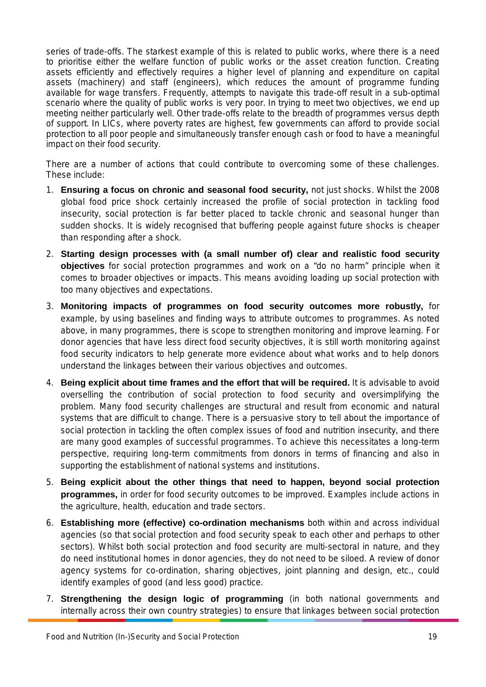series of trade-offs. The starkest example of this is related to public works, where there is a need to prioritise either the welfare function of public works or the asset creation function. Creating assets efficiently and effectively requires a higher level of planning and expenditure on capital assets (machinery) and staff (engineers), which reduces the amount of programme funding available for wage transfers. Frequently, attempts to navigate this trade-off result in a sub-optimal scenario where the quality of public works is very poor. In trying to meet two objectives, we end up meeting neither particularly well. Other trade-offs relate to the breadth of programmes versus depth of support. In LICs, where poverty rates are highest, few governments can afford to provide social protection to all poor people and simultaneously transfer enough cash or food to have a meaningful impact on their food security.

There are a number of actions that could contribute to overcoming some of these challenges. These include:

- 1. **Ensuring a focus on chronic and seasonal food security,** not just shocks. Whilst the 2008 global food price shock certainly increased the profile of social protection in tackling food insecurity, social protection is far better placed to tackle chronic and seasonal hunger than sudden shocks. It is widely recognised that buffering people against future shocks is cheaper than responding after a shock.
- 2. **Starting design processes with (a small number of) clear and realistic food security objectives** for social protection programmes and work on a "do no harm" principle when it comes to broader objectives or impacts. This means avoiding loading up social protection with too many objectives and expectations.
- 3. **Monitoring impacts of programmes on food security outcomes more robustly,** for example, by using baselines and finding ways to attribute outcomes to programmes. As noted above, in many programmes, there is scope to strengthen monitoring and improve learning. For donor agencies that have less direct food security objectives, it is still worth monitoring against food security indicators to help generate more evidence about what works and to help donors understand the linkages between their various objectives and outcomes.
- 4. **Being explicit about time frames and the effort that will be required.** It is advisable to avoid overselling the contribution of social protection to food security and oversimplifying the problem. Many food security challenges are structural and result from economic and natural systems that are difficult to change. There is a persuasive story to tell about the importance of social protection in tackling the often complex issues of food and nutrition insecurity, and there are many good examples of successful programmes. To achieve this necessitates a long-term perspective, requiring long-term commitments from donors in terms of financing and also in supporting the establishment of national systems and institutions.
- 5. **Being explicit about the other things that need to happen, beyond social protection programmes,** in order for food security outcomes to be improved. Examples include actions in the agriculture, health, education and trade sectors.
- 6. **Establishing more (effective) co-ordination mechanisms** both within and across individual agencies (so that social protection and food security speak to each other and perhaps to other sectors). Whilst both social protection and food security are multi-sectoral in nature, and they do need institutional homes in donor agencies, they do not need to be siloed. A review of donor agency systems for co-ordination, sharing objectives, joint planning and design, etc., could identify examples of good (and less good) practice.
- 7. **Strengthening the design logic of programming** (in both national governments and internally across their own country strategies) to ensure that linkages between social protection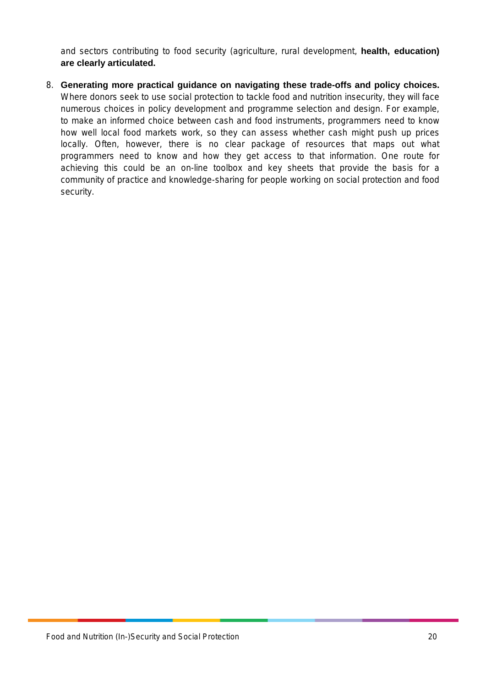and sectors contributing to food security (agriculture, rural development, **health, education) are clearly articulated.** 

8. **Generating more practical guidance on navigating these trade-offs and policy choices.**  Where donors seek to use social protection to tackle food and nutrition insecurity, they will face numerous choices in policy development and programme selection and design. For example, to make an informed choice between cash and food instruments, programmers need to know how well local food markets work, so they can assess whether cash might push up prices locally. Often, however, there is no clear package of resources that maps out what programmers need to know and how they get access to that information. One route for achieving this could be an on-line toolbox and key sheets that provide the basis for a community of practice and knowledge-sharing for people working on social protection and food security.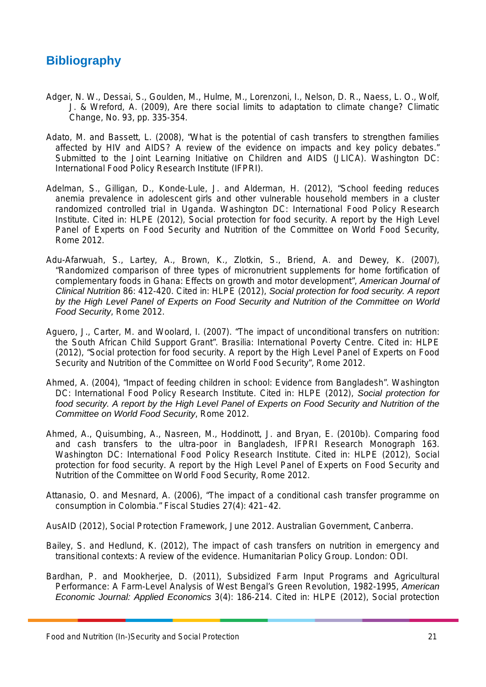## **Bibliography**

- Adger, N. W., Dessai, S., Goulden, M., Hulme, M., Lorenzoni, I., Nelson, D. R., Naess, L. O., Wolf, J. & Wreford, A. (2009), Are there social limits to adaptation to climate change? Climatic Change, No. 93, pp. 335-354.
- Adato, M. and Bassett, L. (2008), "What is the potential of cash transfers to strengthen families affected by HIV and AIDS? A review of the evidence on impacts and key policy debates." Submitted to the Joint Learning Initiative on Children and AIDS (JLICA). Washington DC: International Food Policy Research Institute (IFPRI).
- Adelman, S., Gilligan, D., Konde-Lule, J. and Alderman, H. (2012), "School feeding reduces anemia prevalence in adolescent girls and other vulnerable household members in a cluster randomized controlled trial in Uganda. Washington DC: International Food Policy Research Institute. Cited in: HLPE (2012), Social protection for food security. A report by the High Level Panel of Experts on Food Security and Nutrition of the Committee on World Food Security, Rome 2012.
- Adu-Afarwuah, S., Lartey, A., Brown, K., Zlotkin, S., Briend, A. and Dewey, K. (2007), "Randomized comparison of three types of micronutrient supplements for home fortification of complementary foods in Ghana: Effects on growth and motor development", *American Journal of Clinical Nutrition* 86: 412-420. Cited in: HLPE (2012), *Social protection for food security. A report by the High Level Panel of Experts on Food Security and Nutrition of the Committee on World Food Security*, Rome 2012.
- Aguero, J., Carter, M. and Woolard, I. (2007). "The impact of unconditional transfers on nutrition: the South African Child Support Grant". Brasilia: International Poverty Centre. Cited in: HLPE (2012), "Social protection for food security. A report by the High Level Panel of Experts on Food Security and Nutrition of the Committee on World Food Security", Rome 2012.
- Ahmed, A. (2004), "Impact of feeding children in school: Evidence from Bangladesh". Washington DC: International Food Policy Research Institute. Cited in: HLPE (2012), *Social protection for food security. A report by the High Level Panel of Experts on Food Security and Nutrition of the Committee on World Food Security*, Rome 2012.
- Ahmed, A., Quisumbing, A., Nasreen, M., Hoddinott, J. and Bryan, E. (2010b). Comparing food and cash transfers to the ultra-poor in Bangladesh, IFPRI Research Monograph 163. Washington DC: International Food Policy Research Institute. Cited in: HLPE (2012), Social protection for food security. A report by the High Level Panel of Experts on Food Security and Nutrition of the Committee on World Food Security, Rome 2012.
- Attanasio, O. and Mesnard, A. (2006), "The impact of a conditional cash transfer programme on consumption in Colombia." Fiscal Studies 27(4): 421–42.
- AusAID (2012), Social Protection Framework, June 2012. Australian Government, Canberra.
- Bailey, S. and Hedlund, K. (2012), The impact of cash transfers on nutrition in emergency and transitional contexts: A review of the evidence. Humanitarian Policy Group. London: ODI.
- Bardhan, P. and Mookherjee, D. (2011), Subsidized Farm Input Programs and Agricultural Performance: A Farm-Level Analysis of West Bengal's Green Revolution, 1982-1995, *American Economic Journal: Applied Economics* 3(4): 186-214. Cited in: HLPE (2012), Social protection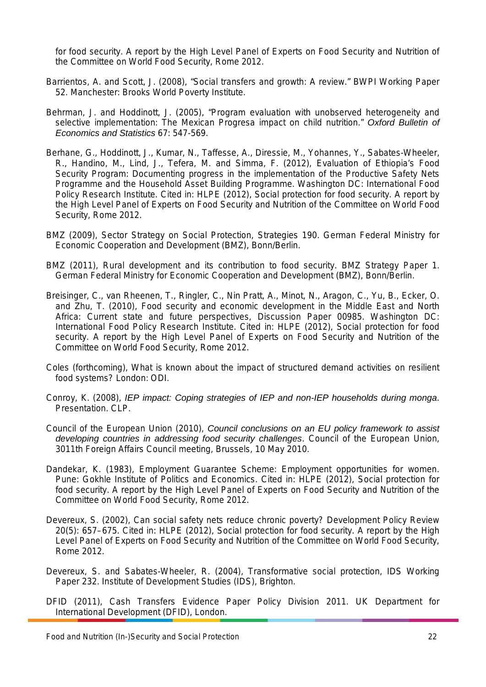for food security. A report by the High Level Panel of Experts on Food Security and Nutrition of the Committee on World Food Security, Rome 2012.

- Barrientos, A. and Scott, J. (2008), "Social transfers and growth: A review." BWPI Working Paper 52. Manchester: Brooks World Poverty Institute.
- Behrman, J. and Hoddinott, J. (2005), "Program evaluation with unobserved heterogeneity and selective implementation: The Mexican Progresa impact on child nutrition." *Oxford Bulletin of Economics and Statistics* 67: 547-569.
- Berhane, G., Hoddinott, J., Kumar, N., Taffesse, A., Diressie, M., Yohannes, Y., Sabates-Wheeler, R., Handino, M., Lind, J., Tefera, M. and Simma, F. (2012), Evaluation of Ethiopia's Food Security Program: Documenting progress in the implementation of the Productive Safety Nets Programme and the Household Asset Building Programme. Washington DC: International Food Policy Research Institute. Cited in: HLPE (2012), Social protection for food security. A report by the High Level Panel of Experts on Food Security and Nutrition of the Committee on World Food Security, Rome 2012.
- BMZ (2009), Sector Strategy on Social Protection, Strategies 190. German Federal Ministry for Economic Cooperation and Development (BMZ), Bonn/Berlin.
- BMZ (2011), Rural development and its contribution to food security. BMZ Strategy Paper 1. German Federal Ministry for Economic Cooperation and Development (BMZ), Bonn/Berlin.
- Breisinger, C., van Rheenen, T., Ringler, C., Nin Pratt, A., Minot, N., Aragon, C., Yu, B., Ecker, O. and Zhu, T. (2010), Food security and economic development in the Middle East and North Africa: Current state and future perspectives, Discussion Paper 00985. Washington DC: International Food Policy Research Institute. Cited in: HLPE (2012), Social protection for food security. A report by the High Level Panel of Experts on Food Security and Nutrition of the Committee on World Food Security, Rome 2012.
- Coles (forthcoming), What is known about the impact of structured demand activities on resilient food systems? London: ODI.
- Conroy, K. (2008), *IEP impact: Coping strategies of IEP and non-IEP households during monga*. Presentation. CLP.
- Council of the European Union (2010), *Council conclusions on an EU policy framework to assist developing countries in addressing food security challenges*. Council of the European Union, 3011th Foreign Affairs Council meeting, Brussels, 10 May 2010.
- Dandekar, K. (1983), Employment Guarantee Scheme: Employment opportunities for women. Pune: Gokhle Institute of Politics and Economics. Cited in: HLPE (2012), Social protection for food security. A report by the High Level Panel of Experts on Food Security and Nutrition of the Committee on World Food Security, Rome 2012.
- Devereux, S. (2002), Can social safety nets reduce chronic poverty? Development Policy Review 20(5): 657–675. Cited in: HLPE (2012), Social protection for food security. A report by the High Level Panel of Experts on Food Security and Nutrition of the Committee on World Food Security, Rome 2012.
- Devereux, S. and Sabates-Wheeler, R. (2004), Transformative social protection, IDS Working Paper 232. Institute of Development Studies (IDS), Brighton.
- DFID (2011), Cash Transfers Evidence Paper Policy Division 2011. UK Department for International Development (DFID), London.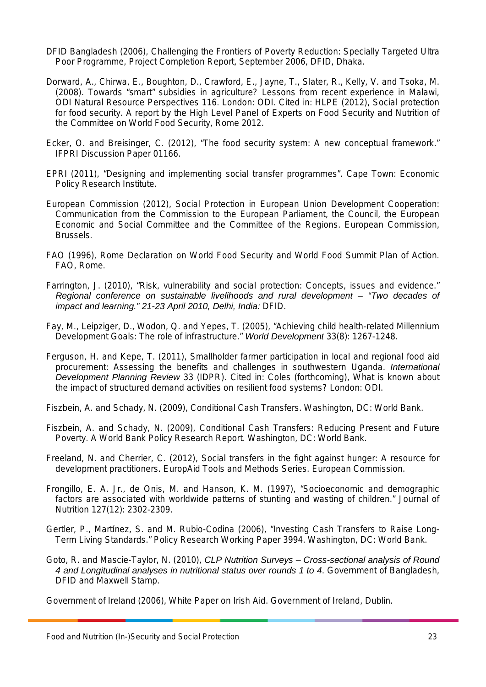- DFID Bangladesh (2006), Challenging the Frontiers of Poverty Reduction: Specially Targeted Ultra Poor Programme, Project Completion Report, September 2006, DFID, Dhaka.
- Dorward, A., Chirwa, E., Boughton, D., Crawford, E., Jayne, T., Slater, R., Kelly, V. and Tsoka, M. (2008). Towards "smart" subsidies in agriculture? Lessons from recent experience in Malawi, ODI Natural Resource Perspectives 116. London: ODI. Cited in: HLPE (2012), Social protection for food security. A report by the High Level Panel of Experts on Food Security and Nutrition of the Committee on World Food Security, Rome 2012.
- Ecker, O. and Breisinger, C. (2012), "The food security system: A new conceptual framework." IFPRI Discussion Paper 01166.
- EPRI (2011), "Designing and implementing social transfer programmes". Cape Town: Economic Policy Research Institute.
- European Commission (2012), Social Protection in European Union Development Cooperation: Communication from the Commission to the European Parliament, the Council, the European Economic and Social Committee and the Committee of the Regions. European Commission, Brussels.
- FAO (1996), Rome Declaration on World Food Security and World Food Summit Plan of Action. FAO, Rome.
- Farrington, J. (2010), "Risk, vulnerability and social protection: Concepts, issues and evidence." *Regional conference on sustainable livelihoods and rural development – "Two decades of impact and learning." 21-23 April 2010, Delhi, India:* DFID.
- Fay, M., Leipziger, D., Wodon, Q. and Yepes, T. (2005), "Achieving child health-related Millennium Development Goals: The role of infrastructure." *World Development* 33(8): 1267-1248.
- Ferguson, H. and Kepe, T. (2011), Smallholder farmer participation in local and regional food aid procurement: Assessing the benefits and challenges in southwestern Uganda. *International Development Planning Review* 33 (IDPR). Cited in: Coles (forthcoming), What is known about the impact of structured demand activities on resilient food systems? London: ODI.

Fiszbein, A. and Schady, N. (2009), Conditional Cash Transfers. Washington, DC: World Bank.

- Fiszbein, A. and Schady, N. (2009), Conditional Cash Transfers: Reducing Present and Future Poverty. A World Bank Policy Research Report. Washington, DC: World Bank.
- Freeland, N. and Cherrier, C. (2012), Social transfers in the fight against hunger: A resource for development practitioners. EuropAid Tools and Methods Series. European Commission.
- Frongillo, E. A. Jr., de Onis, M. and Hanson, K. M. (1997), "Socioeconomic and demographic factors are associated with worldwide patterns of stunting and wasting of children." Journal of Nutrition 127(12): 2302-2309.
- Gertler, P., Martínez, S. and M. Rubio-Codina (2006), "Investing Cash Transfers to Raise Long-Term Living Standards." Policy Research Working Paper 3994. Washington, DC: World Bank.
- Goto, R. and Mascie-Taylor, N. (2010), *CLP Nutrition Surveys – Cross-sectional analysis of Round 4 and Longitudinal analyses in nutritional status over rounds 1 to 4*. Government of Bangladesh, DFID and Maxwell Stamp.

Government of Ireland (2006), White Paper on Irish Aid. Government of Ireland, Dublin.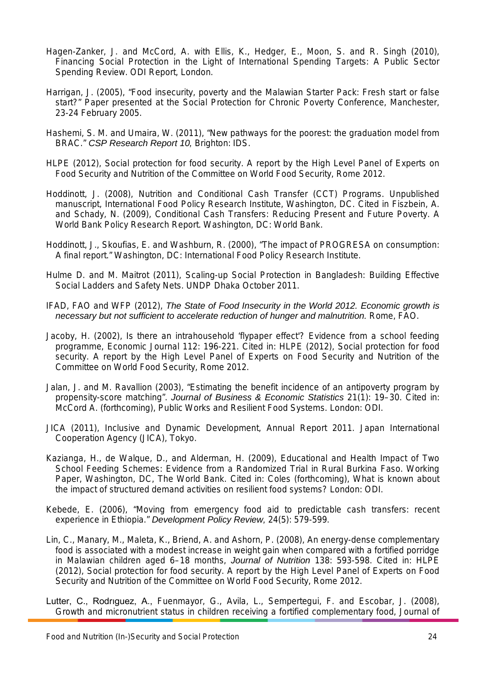- Hagen-Zanker, J. and McCord, A. with Ellis, K., Hedger, E., Moon, S. and R. Singh (2010), Financing Social Protection in the Light of International Spending Targets: A Public Sector Spending Review. ODI Report, London.
- Harrigan, J. (2005), "Food insecurity, poverty and the Malawian Starter Pack: Fresh start or false start?" Paper presented at the Social Protection for Chronic Poverty Conference, Manchester, 23-24 February 2005.
- Hashemi, S. M. and Umaira, W. (2011), "New pathways for the poorest: the graduation model from BRAC." *CSP Research Report 10,* Brighton: IDS.
- HLPE (2012), Social protection for food security. A report by the High Level Panel of Experts on Food Security and Nutrition of the Committee on World Food Security, Rome 2012.
- Hoddinott, J. (2008), Nutrition and Conditional Cash Transfer (CCT) Programs. Unpublished manuscript, International Food Policy Research Institute, Washington, DC. Cited in Fiszbein, A. and Schady, N. (2009), Conditional Cash Transfers: Reducing Present and Future Poverty. A World Bank Policy Research Report. Washington, DC: World Bank.
- Hoddinott, J., Skoufias, E. and Washburn, R. (2000), "The impact of PROGRESA on consumption: A final report." Washington, DC: International Food Policy Research Institute.
- Hulme D. and M. Maitrot (2011), Scaling-up Social Protection in Bangladesh: Building Effective Social Ladders and Safety Nets. UNDP Dhaka October 2011.
- IFAD, FAO and WFP (2012), *The State of Food Insecurity in the World 2012. Economic growth is necessary but not sufficient to accelerate reduction of hunger and malnutrition.* Rome, FAO.
- Jacoby, H. (2002), Is there an intrahousehold 'flypaper effect'? Evidence from a school feeding programme, Economic Journal 112: 196-221. Cited in: HLPE (2012), Social protection for food security. A report by the High Level Panel of Experts on Food Security and Nutrition of the Committee on World Food Security, Rome 2012.
- Jalan, J. and M. Ravallion (2003), "Estimating the benefit incidence of an antipoverty program by propensity-score matching". *Journal of Business & Economic Statistics* 21(1): 19–30. Cited in: McCord A. (forthcoming), Public Works and Resilient Food Systems. London: ODI.
- JICA (2011), Inclusive and Dynamic Development, Annual Report 2011. Japan International Cooperation Agency (JICA), Tokyo.
- Kazianga, H., de Walque, D., and Alderman, H. (2009), Educational and Health Impact of Two School Feeding Schemes: Evidence from a Randomized Trial in Rural Burkina Faso. Working Paper, Washington, DC, The World Bank. Cited in: Coles (forthcoming), What is known about the impact of structured demand activities on resilient food systems? London: ODI.
- Kebede, E. (2006), "Moving from emergency food aid to predictable cash transfers: recent experience in Ethiopia." *Development Policy Review,* 24(5): 579-599.
- Lin, C., Manary, M., Maleta, K., Briend, A. and Ashorn, P. (2008), An energy-dense complementary food is associated with a modest increase in weight gain when compared with a fortified porridge in Malawian children aged 6–18 months, *Journal of Nutrition* 138: 593-598. Cited in: HLPE (2012), Social protection for food security. A report by the High Level Panel of Experts on Food Security and Nutrition of the Committee on World Food Security, Rome 2012.

Lutter, C., Rodrıguez, A., Fuenmayor, G., Avila, L., Sempertegui, F. and Escobar, J. (2008), Growth and micronutrient status in children receiving a fortified complementary food, Journal of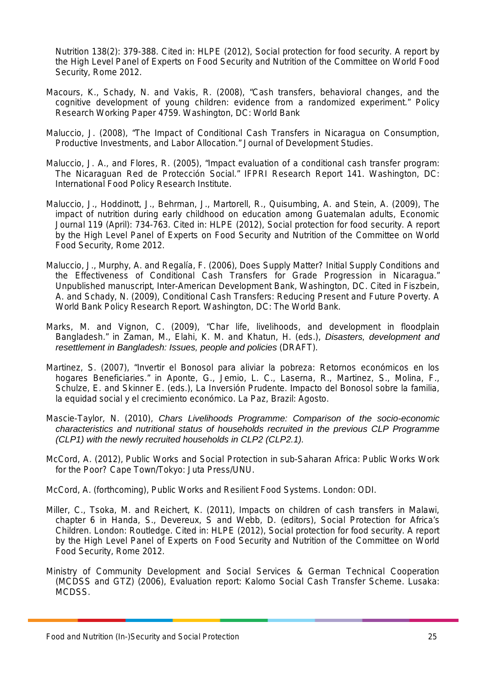Nutrition 138(2): 379-388. Cited in: HLPE (2012), Social protection for food security. A report by the High Level Panel of Experts on Food Security and Nutrition of the Committee on World Food Security, Rome 2012.

- Macours, K., Schady, N. and Vakis, R. (2008), "Cash transfers, behavioral changes, and the cognitive development of young children: evidence from a randomized experiment." Policy Research Working Paper 4759. Washington, DC: World Bank
- Maluccio, J. (2008), "The Impact of Conditional Cash Transfers in Nicaragua on Consumption, Productive Investments, and Labor Allocation." Journal of Development Studies.
- Maluccio, J. A., and Flores, R. (2005), "Impact evaluation of a conditional cash transfer program: The Nicaraguan Red de Protección Social." IFPRI Research Report 141. Washington, DC: International Food Policy Research Institute.
- Maluccio, J., Hoddinott, J., Behrman, J., Martorell, R., Quisumbing, A. and Stein, A. (2009), The impact of nutrition during early childhood on education among Guatemalan adults, Economic Journal 119 (April): 734-763. Cited in: HLPE (2012), Social protection for food security. A report by the High Level Panel of Experts on Food Security and Nutrition of the Committee on World Food Security, Rome 2012.
- Maluccio, J., Murphy, A. and Regalía, F. (2006), Does Supply Matter? Initial Supply Conditions and the Effectiveness of Conditional Cash Transfers for Grade Progression in Nicaragua." Unpublished manuscript, Inter-American Development Bank, Washington, DC. Cited in Fiszbein, A. and Schady, N. (2009), Conditional Cash Transfers: Reducing Present and Future Poverty. A World Bank Policy Research Report. Washington, DC: The World Bank.
- Marks, M. and Vignon, C. (2009), "Char life, livelihoods, and development in floodplain Bangladesh." in Zaman, M., Elahi, K. M. and Khatun, H. (eds.), *Disasters, development and resettlement in Bangladesh: Issues, people and policies* (DRAFT).
- Martinez, S. (2007), "Invertir el Bonosol para aliviar la pobreza: Retornos económicos en los hogares Beneficiaries." in Aponte, G., Jemio, L. C., Laserna, R., Martinez, S., Molina, F., Schulze, E. and Skinner E. (eds.), La Inversión Prudente. Impacto del Bonosol sobre la familia, la equidad social y el crecimiento económico. La Paz, Brazil: Agosto.
- Mascie-Taylor, N. (2010), *Chars Livelihoods Programme: Comparison of the socio-economic characteristics and nutritional status of households recruited in the previous CLP Programme (CLP1) with the newly recruited households in CLP2 (CLP2.1).*
- McCord, A. (2012), Public Works and Social Protection in sub-Saharan Africa: Public Works Work for the Poor? Cape Town/Tokyo: Juta Press/UNU.

McCord, A. (forthcoming), Public Works and Resilient Food Systems. London: ODI.

- Miller, C., Tsoka, M. and Reichert, K. (2011), Impacts on children of cash transfers in Malawi, chapter 6 in Handa, S., Devereux, S and Webb, D. (editors), Social Protection for Africa's Children. London: Routledge. Cited in: HLPE (2012), Social protection for food security. A report by the High Level Panel of Experts on Food Security and Nutrition of the Committee on World Food Security, Rome 2012.
- Ministry of Community Development and Social Services & German Technical Cooperation (MCDSS and GTZ) (2006), Evaluation report: Kalomo Social Cash Transfer Scheme. Lusaka: MCDSS.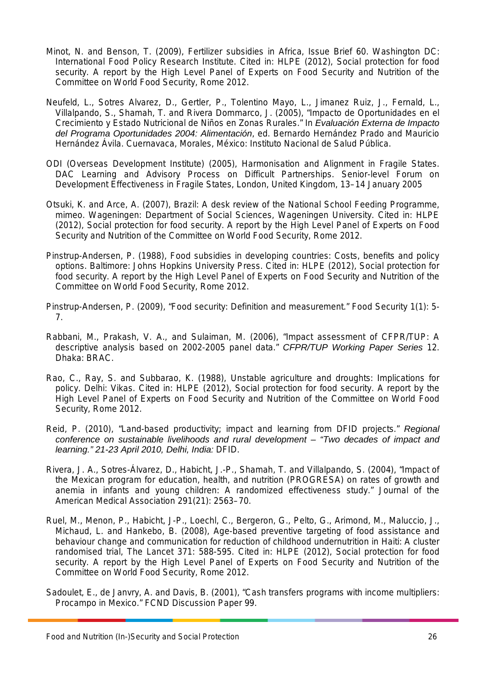- Minot, N. and Benson, T. (2009), Fertilizer subsidies in Africa, Issue Brief 60. Washington DC: International Food Policy Research Institute. Cited in: HLPE (2012), Social protection for food security. A report by the High Level Panel of Experts on Food Security and Nutrition of the Committee on World Food Security, Rome 2012.
- Neufeld, L., Sotres Alvarez, D., Gertler, P., Tolentino Mayo, L., Jimanez Ruiz, J., Fernald, L., Villalpando, S., Shamah, T. and Rivera Dommarco, J. (2005), "Impacto de Oportunidades en el Crecimiento y Estado Nutricional de Niños en Zonas Rurales." In *Evaluación Externa de Impacto del Programa Oportunidades 2004: Alimentación*, ed. Bernardo Hernández Prado and Mauricio Hernández Ávila. Cuernavaca, Morales, México: Instituto Nacional de Salud Pública.
- ODI (Overseas Development Institute) (2005), Harmonisation and Alignment in Fragile States. DAC Learning and Advisory Process on Difficult Partnerships. Senior-level Forum on Development Effectiveness in Fragile States, London, United Kingdom, 13–14 January 2005
- Otsuki, K. and Arce, A. (2007), Brazil: A desk review of the National School Feeding Programme, mimeo. Wageningen: Department of Social Sciences, Wageningen University. Cited in: HLPE (2012), Social protection for food security. A report by the High Level Panel of Experts on Food Security and Nutrition of the Committee on World Food Security, Rome 2012.
- Pinstrup-Andersen, P. (1988), Food subsidies in developing countries: Costs, benefits and policy options. Baltimore: Johns Hopkins University Press. Cited in: HLPE (2012), Social protection for food security. A report by the High Level Panel of Experts on Food Security and Nutrition of the Committee on World Food Security, Rome 2012.
- Pinstrup-Andersen, P. (2009), "Food security: Definition and measurement." Food Security 1(1): 5- 7.
- Rabbani, M., Prakash, V. A., and Sulaiman, M. (2006), "Impact assessment of CFPR/TUP: A descriptive analysis based on 2002-2005 panel data." *CFPR/TUP Working Paper Series* 12. Dhaka: BRAC.
- Rao, C., Ray, S. and Subbarao, K. (1988), Unstable agriculture and droughts: Implications for policy. Delhi: Vikas. Cited in: HLPE (2012), Social protection for food security. A report by the High Level Panel of Experts on Food Security and Nutrition of the Committee on World Food Security, Rome 2012.
- Reid, P. (2010), "Land-based productivity; impact and learning from DFID projects." *Regional conference on sustainable livelihoods and rural development – "Two decades of impact and learning." 21-23 April 2010, Delhi, India:* DFID.
- Rivera, J. A., Sotres-Álvarez, D., Habicht, J.-P., Shamah, T. and Villalpando, S. (2004), "Impact of the Mexican program for education, health, and nutrition (PROGRESA) on rates of growth and anemia in infants and young children: A randomized effectiveness study." Journal of the American Medical Association 291(21): 2563–70.
- Ruel, M., Menon, P., Habicht, J-P., Loechl, C., Bergeron, G., Pelto, G., Arimond, M., Maluccio, J., Michaud, L. and Hankebo, B. (2008), Age-based preventive targeting of food assistance and behaviour change and communication for reduction of childhood undernutrition in Haiti: A cluster randomised trial, The Lancet 371: 588-595. Cited in: HLPE (2012), Social protection for food security. A report by the High Level Panel of Experts on Food Security and Nutrition of the Committee on World Food Security, Rome 2012.
- Sadoulet, E., de Janvry, A. and Davis, B. (2001), "Cash transfers programs with income multipliers: Procampo in Mexico." FCND Discussion Paper 99.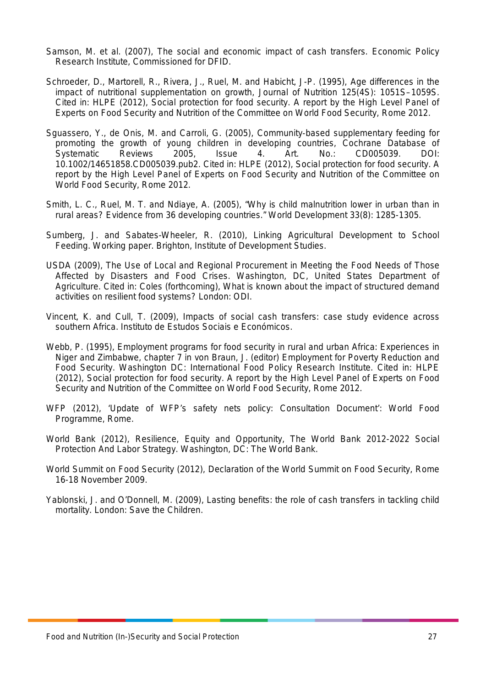- Samson, M. et al. (2007), The social and economic impact of cash transfers. Economic Policy Research Institute, Commissioned for DFID.
- Schroeder, D., Martorell, R., Rivera, J., Ruel, M. and Habicht, J-P. (1995), Age differences in the impact of nutritional supplementation on growth, Journal of Nutrition 125(4S): 1051S–1059S. Cited in: HLPE (2012), Social protection for food security. A report by the High Level Panel of Experts on Food Security and Nutrition of the Committee on World Food Security, Rome 2012.
- Sguassero, Y., de Onis, M. and Carroli, G. (2005), Community‐based supplementary feeding for promoting the growth of young children in developing countries, Cochrane Database of Systematic Reviews 2005, Issue 4. Art. No.: CD005039. DOI: 10.1002/14651858.CD005039.pub2. Cited in: HLPE (2012), Social protection for food security. A report by the High Level Panel of Experts on Food Security and Nutrition of the Committee on World Food Security, Rome 2012.
- Smith, L. C., Ruel, M. T. and Ndiaye, A. (2005), "Why is child malnutrition lower in urban than in rural areas? Evidence from 36 developing countries." World Development 33(8): 1285-1305.
- Sumberg, J. and Sabates-Wheeler, R. (2010), Linking Agricultural Development to School Feeding. Working paper. Brighton, Institute of Development Studies.
- USDA (2009), The Use of Local and Regional Procurement in Meeting the Food Needs of Those Affected by Disasters and Food Crises. Washington, DC, United States Department of Agriculture. Cited in: Coles (forthcoming), What is known about the impact of structured demand activities on resilient food systems? London: ODI.
- Vincent, K. and Cull, T. (2009), Impacts of social cash transfers: case study evidence across southern Africa. Instituto de Estudos Sociais e Económicos.
- Webb, P. (1995), Employment programs for food security in rural and urban Africa: Experiences in Niger and Zimbabwe, chapter 7 in von Braun, J. (editor) Employment for Poverty Reduction and Food Security. Washington DC: International Food Policy Research Institute. Cited in: HLPE (2012), Social protection for food security. A report by the High Level Panel of Experts on Food Security and Nutrition of the Committee on World Food Security, Rome 2012.
- WFP (2012), 'Update of WFP's safety nets policy: Consultation Document': World Food Programme, Rome.
- World Bank (2012), Resilience, Equity and Opportunity, The World Bank 2012-2022 Social Protection And Labor Strategy. Washington, DC: The World Bank.
- World Summit on Food Security (2012), Declaration of the World Summit on Food Security, Rome 16-18 November 2009.
- Yablonski, J. and O'Donnell, M. (2009), Lasting benefits: the role of cash transfers in tackling child mortality. London: Save the Children.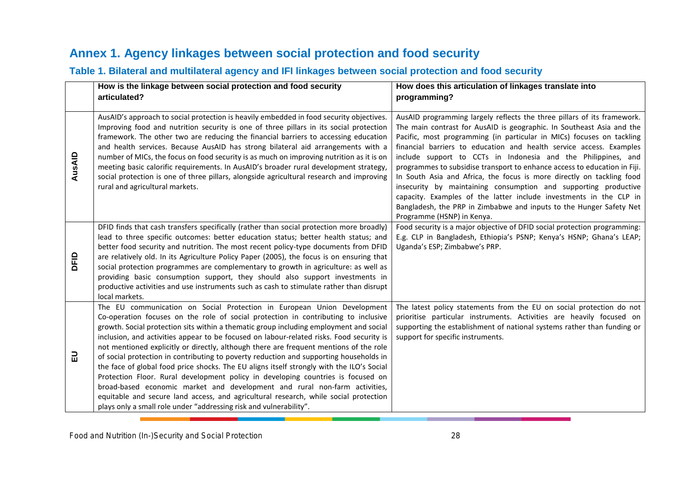## **Annex 1. Agency linkages between social protection and food security**

## **Table 1. Bilateral and multilateral agency and IFI linkages between social protection and food security**

<span id="page-29-1"></span><span id="page-29-0"></span>

|        | How is the linkage between social protection and food security<br>articulated?                                                                                                                                                                                                                                                                                                                                                                                                                                                                                                                                                                                                                                                                                                                                                                                                                                                                                       | How does this articulation of linkages translate into<br>programming?                                                                                                                                                                                                                                                                                                                                                                                                                                                                                                                                                                                                                                                                                                 |
|--------|----------------------------------------------------------------------------------------------------------------------------------------------------------------------------------------------------------------------------------------------------------------------------------------------------------------------------------------------------------------------------------------------------------------------------------------------------------------------------------------------------------------------------------------------------------------------------------------------------------------------------------------------------------------------------------------------------------------------------------------------------------------------------------------------------------------------------------------------------------------------------------------------------------------------------------------------------------------------|-----------------------------------------------------------------------------------------------------------------------------------------------------------------------------------------------------------------------------------------------------------------------------------------------------------------------------------------------------------------------------------------------------------------------------------------------------------------------------------------------------------------------------------------------------------------------------------------------------------------------------------------------------------------------------------------------------------------------------------------------------------------------|
|        |                                                                                                                                                                                                                                                                                                                                                                                                                                                                                                                                                                                                                                                                                                                                                                                                                                                                                                                                                                      |                                                                                                                                                                                                                                                                                                                                                                                                                                                                                                                                                                                                                                                                                                                                                                       |
| AusAID | AusAID's approach to social protection is heavily embedded in food security objectives.<br>Improving food and nutrition security is one of three pillars in its social protection<br>framework. The other two are reducing the financial barriers to accessing education<br>and health services. Because AusAID has strong bilateral aid arrangements with a<br>number of MICs, the focus on food security is as much on improving nutrition as it is on<br>meeting basic calorific requirements. In AusAID's broader rural development strategy,<br>social protection is one of three pillars, alongside agricultural research and improving<br>rural and agricultural markets.                                                                                                                                                                                                                                                                                     | AusAID programming largely reflects the three pillars of its framework.<br>The main contrast for AusAID is geographic. In Southeast Asia and the<br>Pacific, most programming (in particular in MICs) focuses on tackling<br>financial barriers to education and health service access. Examples<br>include support to CCTs in Indonesia and the Philippines, and<br>programmes to subsidise transport to enhance access to education in Fiji.<br>In South Asia and Africa, the focus is more directly on tackling food<br>insecurity by maintaining consumption and supporting productive<br>capacity. Examples of the latter include investments in the CLP in<br>Bangladesh, the PRP in Zimbabwe and inputs to the Hunger Safety Net<br>Programme (HSNP) in Kenya. |
| DEID   | DFID finds that cash transfers specifically (rather than social protection more broadly)<br>lead to three specific outcomes: better education status; better health status; and<br>better food security and nutrition. The most recent policy-type documents from DFID<br>are relatively old. In its Agriculture Policy Paper (2005), the focus is on ensuring that<br>social protection programmes are complementary to growth in agriculture: as well as<br>providing basic consumption support, they should also support investments in<br>productive activities and use instruments such as cash to stimulate rather than disrupt<br>local markets.                                                                                                                                                                                                                                                                                                              | Food security is a major objective of DFID social protection programming:<br>E.g. CLP in Bangladesh, Ethiopia's PSNP; Kenya's HSNP; Ghana's LEAP;<br>Uganda's ESP; Zimbabwe's PRP.                                                                                                                                                                                                                                                                                                                                                                                                                                                                                                                                                                                    |
| 긊      | The EU communication on Social Protection in European Union Development<br>Co-operation focuses on the role of social protection in contributing to inclusive<br>growth. Social protection sits within a thematic group including employment and social<br>inclusion, and activities appear to be focused on labour-related risks. Food security is<br>not mentioned explicitly or directly, although there are frequent mentions of the role<br>of social protection in contributing to poverty reduction and supporting households in<br>the face of global food price shocks. The EU aligns itself strongly with the ILO's Social<br>Protection Floor. Rural development policy in developing countries is focused on<br>broad-based economic market and development and rural non-farm activities,<br>equitable and secure land access, and agricultural research, while social protection<br>plays only a small role under "addressing risk and vulnerability". | The latest policy statements from the EU on social protection do not<br>prioritise particular instruments. Activities are heavily focused on<br>supporting the establishment of national systems rather than funding or<br>support for specific instruments.                                                                                                                                                                                                                                                                                                                                                                                                                                                                                                          |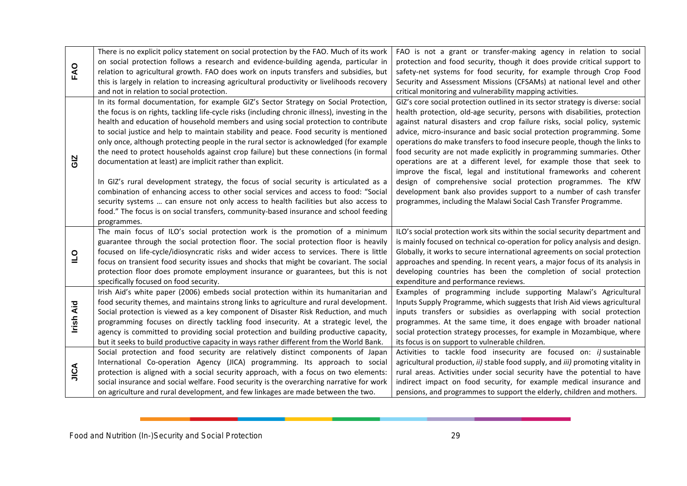|                | There is no explicit policy statement on social protection by the FAO. Much of its work<br>on social protection follows a research and evidence-building agenda, particular in | FAO is not a grant or transfer-making agency in relation to social<br>protection and food security, though it does provide critical support to |
|----------------|--------------------------------------------------------------------------------------------------------------------------------------------------------------------------------|------------------------------------------------------------------------------------------------------------------------------------------------|
| FAO            | relation to agricultural growth. FAO does work on inputs transfers and subsidies, but                                                                                          | safety-net systems for food security, for example through Crop Food                                                                            |
|                | this is largely in relation to increasing agricultural productivity or livelihoods recovery                                                                                    | Security and Assessment Missions (CFSAMs) at national level and other                                                                          |
|                | and not in relation to social protection.                                                                                                                                      | critical monitoring and vulnerability mapping activities.                                                                                      |
|                | In its formal documentation, for example GIZ's Sector Strategy on Social Protection,                                                                                           | GIZ's core social protection outlined in its sector strategy is diverse: social                                                                |
|                | the focus is on rights, tackling life-cycle risks (including chronic illness), investing in the                                                                                | health protection, old-age security, persons with disabilities, protection                                                                     |
|                | health and education of household members and using social protection to contribute                                                                                            | against natural disasters and crop failure risks, social policy, systemic                                                                      |
|                | to social justice and help to maintain stability and peace. Food security is mentioned                                                                                         | advice, micro-insurance and basic social protection programming. Some                                                                          |
|                | only once, although protecting people in the rural sector is acknowledged (for example                                                                                         | operations do make transfers to food insecure people, though the links to                                                                      |
|                | the need to protect households against crop failure) but these connections (in formal                                                                                          | food security are not made explicitly in programming summaries. Other                                                                          |
| GIZ            | documentation at least) are implicit rather than explicit.                                                                                                                     | operations are at a different level, for example those that seek to                                                                            |
|                |                                                                                                                                                                                | improve the fiscal, legal and institutional frameworks and coherent                                                                            |
|                | In GIZ's rural development strategy, the focus of social security is articulated as a                                                                                          | design of comprehensive social protection programmes. The KfW                                                                                  |
|                | combination of enhancing access to other social services and access to food: "Social                                                                                           | development bank also provides support to a number of cash transfer                                                                            |
|                | security systems  can ensure not only access to health facilities but also access to                                                                                           | programmes, including the Malawi Social Cash Transfer Programme.                                                                               |
|                | food." The focus is on social transfers, community-based insurance and school feeding                                                                                          |                                                                                                                                                |
|                | programmes.                                                                                                                                                                    |                                                                                                                                                |
|                | The main focus of ILO's social protection work is the promotion of a minimum                                                                                                   | ILO's social protection work sits within the social security department and                                                                    |
|                | guarantee through the social protection floor. The social protection floor is heavily                                                                                          | is mainly focused on technical co-operation for policy analysis and design.                                                                    |
|                | focused on life-cycle/idiosyncratic risks and wider access to services. There is little                                                                                        | Globally, it works to secure international agreements on social protection                                                                     |
| $\overline{a}$ | focus on transient food security issues and shocks that might be covariant. The social                                                                                         | approaches and spending. In recent years, a major focus of its analysis in                                                                     |
|                | protection floor does promote employment insurance or guarantees, but this is not                                                                                              | developing countries has been the completion of social protection                                                                              |
|                | specifically focused on food security.                                                                                                                                         | expenditure and performance reviews.                                                                                                           |
|                | Irish Aid's white paper (2006) embeds social protection within its humanitarian and                                                                                            | Examples of programming include supporting Malawi's Agricultural                                                                               |
|                | food security themes, and maintains strong links to agriculture and rural development.                                                                                         | Inputs Supply Programme, which suggests that Irish Aid views agricultural                                                                      |
|                | Social protection is viewed as a key component of Disaster Risk Reduction, and much                                                                                            | inputs transfers or subsidies as overlapping with social protection                                                                            |
| Irish Aid      | programming focuses on directly tackling food insecurity. At a strategic level, the                                                                                            | programmes. At the same time, it does engage with broader national                                                                             |
|                | agency is committed to providing social protection and building productive capacity,                                                                                           | social protection strategy processes, for example in Mozambique, where                                                                         |
|                | but it seeks to build productive capacity in ways rather different from the World Bank.                                                                                        | its focus is on support to vulnerable children.                                                                                                |
|                | Social protection and food security are relatively distinct components of Japan                                                                                                | Activities to tackle food insecurity are focused on: <i>i)</i> sustainable                                                                     |
|                | International Co-operation Agency (JICA) programming. Its approach to social                                                                                                   | agricultural production, ii) stable food supply, and iii) promoting vitality in                                                                |
| AJIC           | protection is aligned with a social security approach, with a focus on two elements:                                                                                           | rural areas. Activities under social security have the potential to have                                                                       |
|                | social insurance and social welfare. Food security is the overarching narrative for work                                                                                       | indirect impact on food security, for example medical insurance and                                                                            |
|                | on agriculture and rural development, and few linkages are made between the two.                                                                                               | pensions, and programmes to support the elderly, children and mothers.                                                                         |
|                |                                                                                                                                                                                |                                                                                                                                                |
|                |                                                                                                                                                                                |                                                                                                                                                |
|                |                                                                                                                                                                                |                                                                                                                                                |
|                | Food and Nutrition (In-)Security and Social Protection                                                                                                                         | 29                                                                                                                                             |